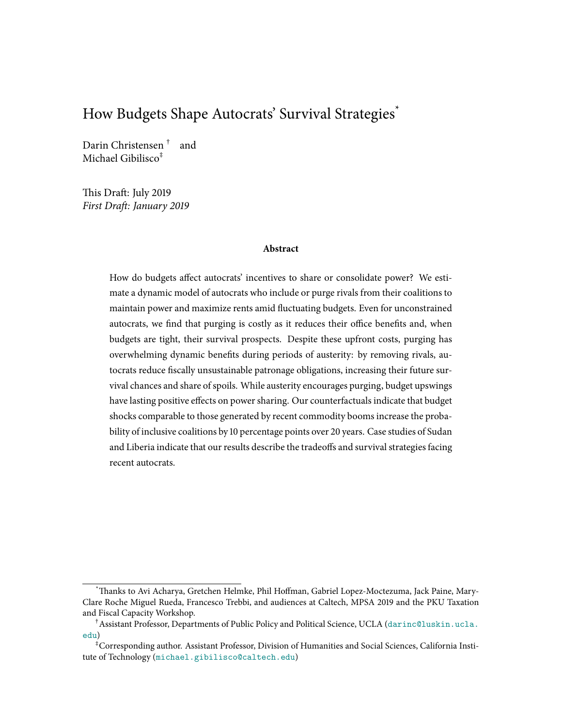# How Budgets Shape Autocrats' Survival Strategies \*

Darin Christensen † and Michael Gibilisco ‡

This Draft: July 2019 First Draft: January 2019

#### **Abstract**

How do budgets affect autocrats' incentives to share or consolidate power? We estimate a dynamic model of autocrats who include or purge rivals from their coalitions to maintain power and maximize rents amid fluctuating budgets. Even for unconstrained autocrats, we find that purging is costly as it reduces their office benefits and, when budgets are tight, their survival prospects. Despite these upfront costs, purging has overwhelming dynamic benefits during periods of austerity: by removing rivals, autocrats reduce fiscally unsustainable patronage obligations, increasing their future survival chances and share of spoils. While austerity encourages purging, budget upswings have lasting positive effects on power sharing. Our counterfactuals indicate that budget shocks comparable to those generated by recent commodity booms increase the probability of inclusive coalitions by 10 percentage points over 20 years. Case studies of Sudan and Liberia indicate that our results describe the tradeoffs and survival strategies facing recent autocrats.

<sup>\*</sup>Thanks to Avi Acharya, Gretchen Helmke, Phil Hoffman, Gabriel Lopez-Moctezuma, Jack Paine, Mary-Clare Roche Miguel Rueda, Francesco Trebbi, and audiences at Caltech, MPSA 2019 and the PKU Taxation and Fiscal Capacity Workshop.

<sup>†</sup>Assistant Professor, Departments of Public Policy and Political Science, UCLA ([darinc@luskin.ucla.](darinc@luskin.ucla.edu) [edu](darinc@luskin.ucla.edu))

<sup>‡</sup>Corresponding author. Assistant Professor, Division of Humanities and Social Sciences, California Institute of Technology (<michael.gibilisco@caltech.edu>)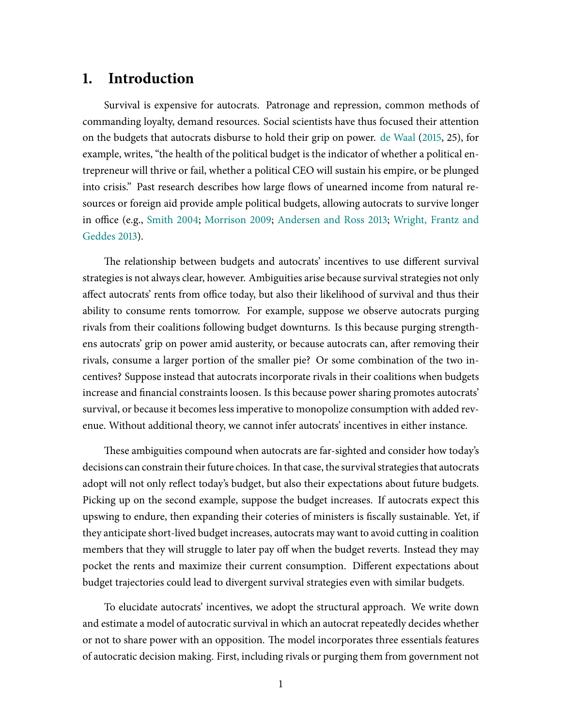# **1. Introduction**

Survival is expensive for autocrats. Patronage and repression, common methods of commanding loyalty, demand resources. Social scientists have thus focused their attention on the budgets that autocrats disburse to hold their grip on power. de [Waal](#page-30-0) [\(2015,](#page-30-0) 25), for example, writes, "the health of the political budget is the indicator of whether a political entrepreneur will thrive or fail, whether a political CEO will sustain his empire, or be plunged into crisis." Past research describes how large flows of unearned income from natural resources or foreign aid provide ample political budgets, allowing autocrats to survive longer in office (e.g., [Smith](#page-32-0) [2004;](#page-32-0) [Morrison](#page-31-0) [2009;](#page-31-0) [Andersen](#page-29-0) and Ross [2013;](#page-29-0) [Wright, Frantz](#page-32-1) and [Geddes](#page-32-1) [2013\)](#page-32-1).

The relationship between budgets and autocrats' incentives to use different survival strategies is not always clear, however. Ambiguities arise because survival strategies not only affect autocrats' rents from office today, but also their likelihood of survival and thus their ability to consume rents tomorrow. For example, suppose we observe autocrats purging rivals from their coalitions following budget downturns. Is this because purging strengthens autocrats' grip on power amid austerity, or because autocrats can, after removing their rivals, consume a larger portion of the smaller pie? Or some combination of the two incentives? Suppose instead that autocrats incorporate rivals in their coalitions when budgets increase and financial constraints loosen. Is this because power sharing promotes autocrats' survival, or because it becomes less imperative to monopolize consumption with added revenue. Without additional theory, we cannot infer autocrats' incentives in either instance.

These ambiguities compound when autocrats are far-sighted and consider how today's decisions can constrain their future choices. In that case, the survival strategies that autocrats adopt will not only reflect today's budget, but also their expectations about future budgets. Picking up on the second example, suppose the budget increases. If autocrats expect this upswing to endure, then expanding their coteries of ministers is fiscally sustainable. Yet, if they anticipate short-lived budget increases, autocrats may want to avoid cutting in coalition members that they will struggle to later pay off when the budget reverts. Instead they may pocket the rents and maximize their current consumption. Different expectations about budget trajectories could lead to divergent survival strategies even with similar budgets.

To elucidate autocrats' incentives, we adopt the structural approach. We write down and estimate a model of autocratic survival in which an autocrat repeatedly decides whether or not to share power with an opposition. The model incorporates three essentials features of autocratic decision making. First, including rivals or purging them from government not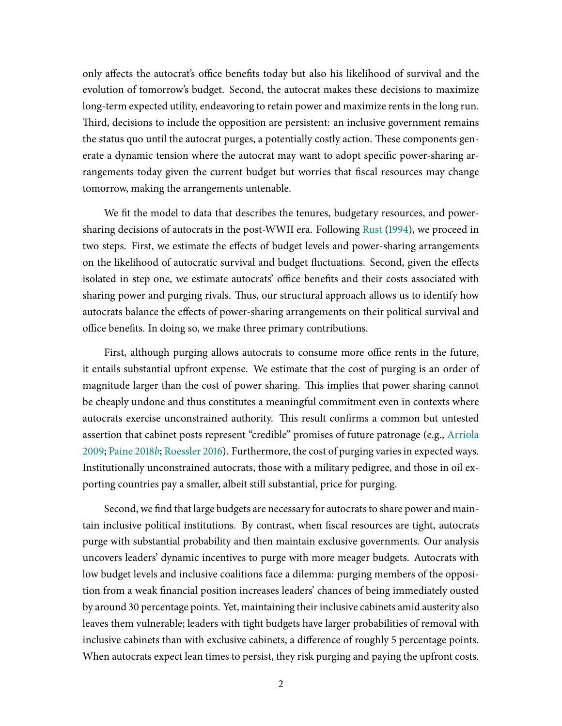only affects the autocrat's office benefits today but also his likelihood of survival and the evolution of tomorrow's budget. Second, the autocrat makes these decisions to maximize long-term expected utility, endeavoring to retain power and maximize rents in the long run. Third, decisions to include the opposition are persistent: an inclusive government remains the status quo until the autocrat purges, a potentially costly action. These components generate a dynamic tension where the autocrat may want to adopt specific power-sharing arrangements today given the current budget but worries that fiscal resources may change tomorrow, making the arrangements untenable.

We fit the model to data that describes the tenures, budgetary resources, and powersharing decisions of autocrats in the post-WWII era. Following [Rust](#page-32-2) [\(1994\)](#page-32-2), we proceed in two steps. First, we estimate the effects of budget levels and power-sharing arrangements on the likelihood of autocratic survival and budget fluctuations. Second, given the effects isolated in step one, we estimate autocrats' office benefits and their costs associated with sharing power and purging rivals. Thus, our structural approach allows us to identify how autocrats balance the effects of power-sharing arrangements on their political survival and office benefits. In doing so, we make three primary contributions.

First, although purging allows autocrats to consume more office rents in the future, it entails substantial upfront expense. We estimate that the cost of purging is an order of magnitude larger than the cost of power sharing. This implies that power sharing cannot be cheaply undone and thus constitutes a meaningful commitment even in contexts where autocrats exercise unconstrained authority. This result confirms a common but untested assertion that cabinet posts represent "credible" promises of future patronage (e.g., [Arriola](#page-29-1) [2009;](#page-29-1) [Paine](#page-31-1) [2018](#page-31-1)b; [Roessler](#page-32-3) [2016\)](#page-32-3). Furthermore, the cost of purging varies in expected ways. Institutionally unconstrained autocrats, those with a military pedigree, and those in oil exporting countries pay a smaller, albeit still substantial, price for purging.

Second, we find that large budgets are necessary for autocrats to share power and maintain inclusive political institutions. By contrast, when ûscal resources are tight, autocrats purge with substantial probability and then maintain exclusive governments. Our analysis uncovers leaders' dynamic incentives to purge with more meager budgets. Autocrats with low budget levels and inclusive coalitions face a dilemma: purging members of the opposition from a weak financial position increases leaders' chances of being immediately ousted by around 30 percentage points. Yet, maintaining their inclusive cabinets amid austerity also leaves them vulnerable; leaders with tight budgets have larger probabilities of removal with inclusive cabinets than with exclusive cabinets, a difference of roughly 5 percentage points. When autocrats expect lean times to persist, they risk purging and paying the upfront costs.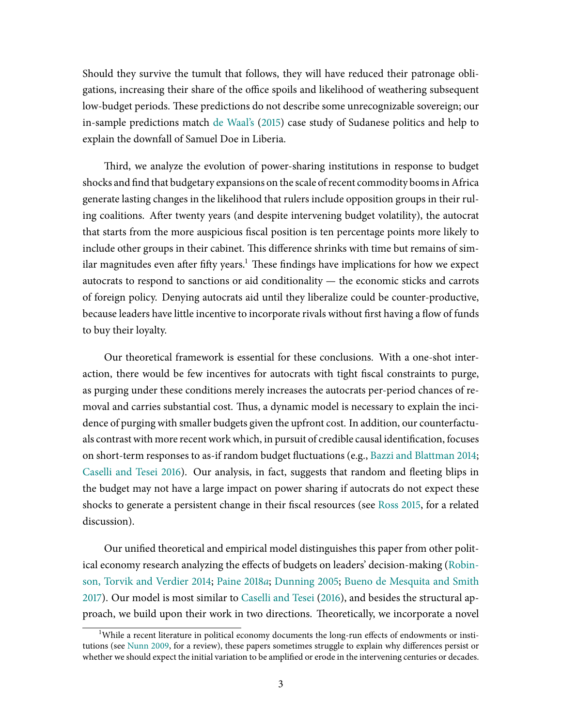Should they survive the tumult that follows, they will have reduced their patronage obligations, increasing their share of the office spoils and likelihood of weathering subsequent low-budget periods. These predictions do not describe some unrecognizable sovereign; our in-sample predictions match de [Waal's](#page-30-0) [\(2015\)](#page-30-0) case study of Sudanese politics and help to explain the downfall of Samuel Doe in Liberia.

Third, we analyze the evolution of power-sharing institutions in response to budget shocks and find that budgetary expansions on the scale of recent commodity booms in Africa generate lasting changes in the likelihood that rulers include opposition groups in their ruling coalitions. After twenty years (and despite intervening budget volatility), the autocrat that starts from the more auspicious fiscal position is ten percentage points more likely to include other groups in their cabinet. This difference shrinks with time but remains of similar magnitudes even after fifty years.<sup>1</sup> These findings have implications for how we expect autocrats to respond to sanctions or aid conditionality — the economic sticks and carrots of foreign policy. Denying autocrats aid until they liberalize could be counter-productive, because leaders have little incentive to incorporate rivals without first having a flow of funds to buy their loyalty.

Our theoretical framework is essential for these conclusions. With a one-shot interaction, there would be few incentives for autocrats with tight fiscal constraints to purge, as purging under these conditions merely increases the autocrats per-period chances of removal and carries substantial cost. Thus, a dynamic model is necessary to explain the incidence of purging with smaller budgets given the upfront cost. In addition, our counterfactuals contrast with more recent work which, in pursuit of credible causal identification, focuses on short-term responses to as-if random budget fluctuations (e.g., Bazzi [and Blattman](#page-29-2) [2014;](#page-29-2) [Caselli](#page-29-3) and Tesei [2016\)](#page-29-3). Our analysis, in fact, suggests that random and fleeting blips in the budget may not have a large impact on power sharing if autocrats do not expect these shocks to generate a persistent change in their fiscal resources (see [Ross](#page-32-4) [2015,](#page-32-4) for a related discussion).

Our unified theoretical and empirical model distinguishes this paper from other polit-ical economy research analyzing the effects of budgets on leaders' decision-making [\(Robin](#page-32-5)son, Torvik and [Verdier](#page-32-5) [2014;](#page-32-5) [Paine](#page-31-2) [2018](#page-31-2)a; [Dunning](#page-30-1) [2005;](#page-30-1) Bueno de [Mesquita and](#page-29-4) Smith [2017\)](#page-29-4). Our model is most similar to [Caselli](#page-29-3) and Tesei [\(2016\)](#page-29-3), and besides the structural approach, we build upon their work in two directions. Theoretically, we incorporate a novel

<sup>&</sup>lt;sup>1</sup>While a recent literature in political economy documents the long-run effects of endowments or insti-tutions (see [Nunn](#page-31-3) [2009,](#page-31-3) for a review), these papers sometimes struggle to explain why differences persist or whether we should expect the initial variation to be amplified or erode in the intervening centuries or decades.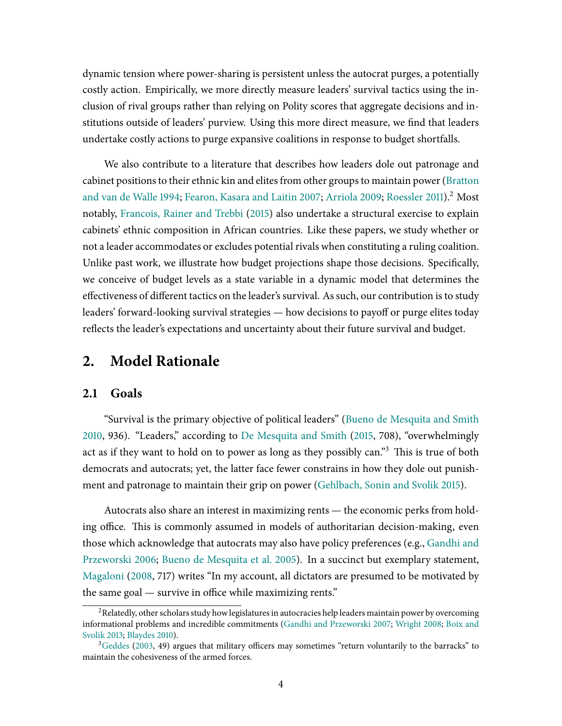dynamic tension where power-sharing is persistent unless the autocrat purges, a potentially costly action. Empirically, we more directly measure leaders' survival tactics using the inclusion of rival groups rather than relying on Polity scores that aggregate decisions and institutions outside of leaders' purview. Using this more direct measure, we find that leaders undertake costly actions to purge expansive coalitions in response to budget shortfalls.

We also contribute to a literature that describes how leaders dole out patronage and cabinet positions to their ethnic kin and elites from other groups to maintain power [\(Bratton](#page-29-5) and van de [Walle](#page-29-5) [1994;](#page-29-5) Fearon, [Kasara and](#page-30-2) Laitin [2007;](#page-30-2) [Arriola](#page-29-1) [2009;](#page-29-1) [Roessler](#page-32-6) [2011\)](#page-32-6).<sup>2</sup> Most notably, [Francois,](#page-30-3) Rainer and Trebbi [\(2015\)](#page-30-3) also undertake a structural exercise to explain cabinets' ethnic composition in African countries. Like these papers, we study whether or not a leader accommodates or excludes potential rivals when constituting a ruling coalition. Unlike past work, we illustrate how budget projections shape those decisions. Specifically, we conceive of budget levels as a state variable in a dynamic model that determines the effectiveness of different tactics on the leader's survival. As such, our contribution is to study leaders' forward-looking survival strategies — how decisions to payoff or purge elites today reflects the leader's expectations and uncertainty about their future survival and budget.

# **2. Model Rationale**

### **2.1 Goals**

"Survival is the primary objective of political leaders" (Bueno de [Mesquita and](#page-29-6) Smith [2010,](#page-29-6) 936). "Leaders," according to De [Mesquita and](#page-30-4) Smith [\(2015,](#page-30-4) 708), "overwhelmingly act as if they want to hold on to power as long as they possibly can."<sup>3</sup> This is true of both democrats and autocrats; yet, the latter face fewer constrains in how they dole out punishment and patronage to maintain their grip on power [\(Gehlbach,](#page-31-4) Sonin and Svolik [2015\)](#page-31-4).

Autocrats also share an interest in maximizing rents — the economic perks from holding office. This is commonly assumed in models of authoritarian decision-making, even those which acknowledge that autocrats may also have policy preferences (e.g., [Gandhi](#page-30-5) and [Przeworski](#page-30-5) [2006;](#page-30-5) Bueno de [Mesquita et](#page-29-7) al. [2005\)](#page-29-7). In a succinct but exemplary statement, [Magaloni](#page-31-5) [\(2008,](#page-31-5) 717) writes "In my account, all dictators are presumed to be motivated by the same goal  $-$  survive in office while maximizing rents."

<sup>&</sup>lt;sup>2</sup> Relatedly, other scholars study how legislatures in autocracies help leaders maintain power by overcoming informational problems and incredible commitments (Gandhi and [Przeworski](#page-30-6) [2007;](#page-30-6) [Wright](#page-32-7) [2008;](#page-32-7) [Boix](#page-29-8) and [Svolik](#page-29-8) [2013;](#page-29-8) [Blaydes](#page-29-9) [2010\)](#page-29-9).

 $3$ [Geddes](#page-30-7) [\(2003,](#page-30-7) 49) argues that military officers may sometimes "return voluntarily to the barracks" to maintain the cohesiveness of the armed forces.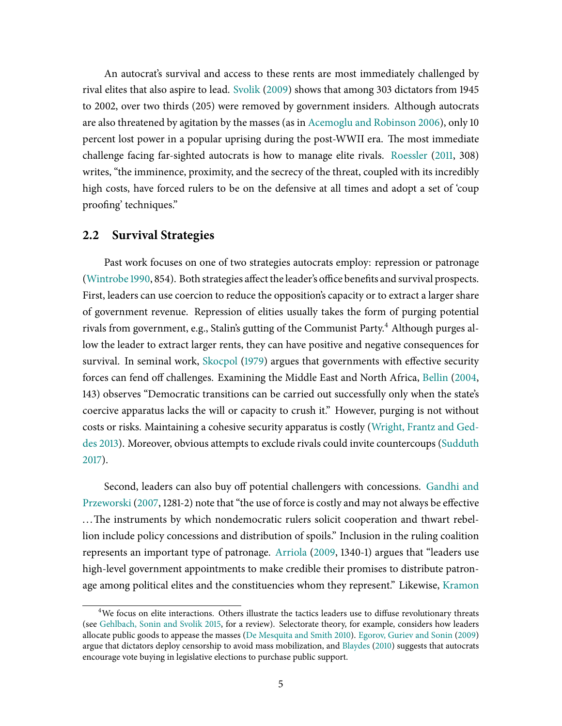An autocrat's survival and access to these rents are most immediately challenged by rival elites that also aspire to lead. [Svolik](#page-32-8) [\(2009\)](#page-32-8) shows that among 303 dictators from 1945 to 2002, over two thirds (205) were removed by government insiders. Although autocrats are also threatened by agitation by the masses (as in [Acemoglu](#page-29-10) and Robinson [2006\)](#page-29-10), only 10 percent lost power in a popular uprising during the post-WWII era. The most immediate challenge facing far-sighted autocrats is how to manage elite rivals. [Roessler](#page-32-6) [\(2011,](#page-32-6) 308) writes, "the imminence, proximity, and the secrecy of the threat, coupled with its incredibly high costs, have forced rulers to be on the defensive at all times and adopt a set of 'coup proofing' techniques."

#### **2.2 Survival Strategies**

Past work focuses on one of two strategies autocrats employ: repression or patronage [\(Wintrobe](#page-32-9) [1990,](#page-32-9) 854). Both strategies affect the leader's office benefits and survival prospects. First, leaders can use coercion to reduce the opposition's capacity or to extract a larger share of government revenue. Repression of elities usually takes the form of purging potential rivals from government, e.g., Stalin's gutting of the Communist Party. <sup>4</sup> Although purges allow the leader to extract larger rents, they can have positive and negative consequences for survival. In seminal work, [Skocpol](#page-32-10) [\(1979\)](#page-32-10) argues that governments with effective security forces can fend off challenges. Examining the Middle East and North Africa, [Bellin](#page-29-11) [\(2004,](#page-29-11) 143) observes "Democratic transitions can be carried out successfully only when the state's coercive apparatus lacks the will or capacity to crush it." However, purging is not without costs or risks. Maintaining a cohesive security apparatus is costly [\(Wright, Frantz](#page-32-1) and Ged[des](#page-32-1) [2013\)](#page-32-1). Moreover, obvious attempts to exclude rivals could invite countercoups [\(Sudduth](#page-32-11) [2017\)](#page-32-11).

Second, leaders can also buy off potential challengers with concessions. [Gandhi](#page-30-6) and [Przeworski](#page-30-6) [\(2007,](#page-30-6) 1281-2) note that "the use of force is costly and may not always be effective ... The instruments by which nondemocratic rulers solicit cooperation and thwart rebellion include policy concessions and distribution of spoils." Inclusion in the ruling coalition represents an important type of patronage. [Arriola](#page-29-1) [\(2009,](#page-29-1) 1340-1) argues that "leaders use high-level government appointments to make credible their promises to distribute patron-age among political elites and the constituencies whom they represent." Likewise, [Kramon](#page-31-6)

<sup>&</sup>lt;sup>4</sup>We focus on elite [interactions. Others](#page-31-6) illustrate the tactics leaders use to diffuse revolutionary threats (see [Gehlbach,](#page-31-4) Sonin and Svolik [2015,](#page-31-4) for a review). Selectorate theory, for [example, considers](#page-31-6) how leaders allocate public goods to appease the masses (De [Mesquita and](#page-31-6) Smith [2010\)](#page-30-8). [Egorov,](#page-30-9) Guriev and Sonin [\(2009\)](#page-30-9) argue that dictators deploy censorship to avoid mass [mobilization, and](#page-31-6) [Blaydes](#page-29-9) [\(2010\)](#page-29-9) suggests that autocrats encourage [vote buying in legislative elections to purchase](#page-31-6) public support.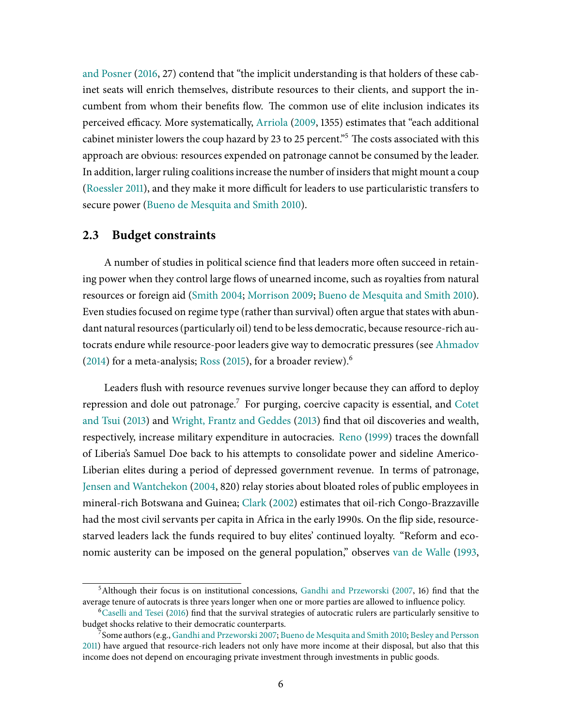and [Posner](#page-31-6) [\(2016,](#page-31-6) 27) contend that "the [implicit understanding is that](#page-31-6) holders of these cabinet seats will enrich themselves, distribute resources to their clients, and support the incumbent from whom their benefits flow. The common use of elite inclusion indicates its perceived efficacy. More systematically, [Arriola](#page-29-1) [\(2009,](#page-29-1) 1355) estimates that "each additional cabinet minister lowers the coup hazard by 23 to 25 percent.<sup>55</sup> The costs associated with this approach are obvious: resources expended on patronage cannot be consumed by the leader. In addition, larger ruling coalitions increase the number of insiders that might mount a coup [\(Roessler](#page-32-6) [2011\)](#page-32-6), and they make it more difficult for leaders to use particularistic transfers to secure power (Bueno de [Mesquita and](#page-29-6) Smith [2010\)](#page-29-6).

### **2.3 Budget constraints**

A number of studies in political science find that leaders more often succeed in retaining power when they control large flows of unearned income, such as royalties from natural resources or foreign aid [\(Smith](#page-32-0) [2004;](#page-32-0) [Morrison](#page-31-0) [2009;](#page-31-0) Bueno de [Mesquita and](#page-29-6) Smith [2010\)](#page-29-6). Even studies focused on regime type (rather than survival) often argue that states with abundant natural resources (particularly oil) tend to be less democratic, because resource-rich autocrats endure while resource-poor leaders give way to democratic pressures (see [Ahmadov](#page-29-12) [\(2014\)](#page-29-12) for a meta-analysis; [Ross](#page-32-4) [\(2015\)](#page-32-4), for a broader review).<sup>6</sup>

Leaders flush with resource revenues survive longer because they can afford to deploy repression and dole out patronage.<sup>7</sup> For purging, coercive capacity is essential, and [Cotet](#page-30-10) and [Tsui](#page-30-10) [\(2013\)](#page-32-1) and [Wright, Frantz](#page-32-1) and Geddes (2013) find that oil discoveries and wealth, respectively, increase military expenditure in autocracies. [Reno](#page-32-12) [\(1999\)](#page-32-12) traces the downfall of Liberia's Samuel Doe back to his attempts to consolidate power and sideline Americo-Liberian elites during a period of depressed government revenue. In terms of patronage, Jensen and [Wantchekon](#page-31-7) [\(2004,](#page-31-7) 820) relay stories about bloated roles of public employees in mineral-rich Botswana and Guinea; [Clark](#page-30-11) [\(2002\)](#page-30-11) estimates that oil-rich Congo-Brazzaville had the most civil servants per capita in Africa in the early 1990s. On the flip side, resourcestarved leaders lack the funds required to buy elites' continued loyalty. "Reform and economic austerity can be imposed on the general population," observes van de [Walle](#page-32-13) [\(1993,](#page-32-13)

 $5$ Although their focus is on institutional concessions, Gandhi and [Przeworski](#page-30-6) [\(2007,](#page-30-6) 16) find that the average tenure of autocrats is three years longer when one or more parties are allowed to influence policy.

 $6$ [Caselli](#page-29-3) and Tesei [\(2016\)](#page-29-3) find that the survival strategies of autocratic rulers are particularly sensitive to budget shocks relative to their democratic counterparts.

 $\tilde{7}$ Some authors (e.g., Gandhi and [Przeworski](#page-30-6) [2007;](#page-30-6) Bueno de [Mesquita and](#page-29-6) Smith [2010;](#page-29-6) Besley and [Persson](#page-29-13) [2011\)](#page-29-13) have argued that resource-rich leaders not only have more income at their disposal, but also that this income does not depend on encouraging private investment through investments in public goods.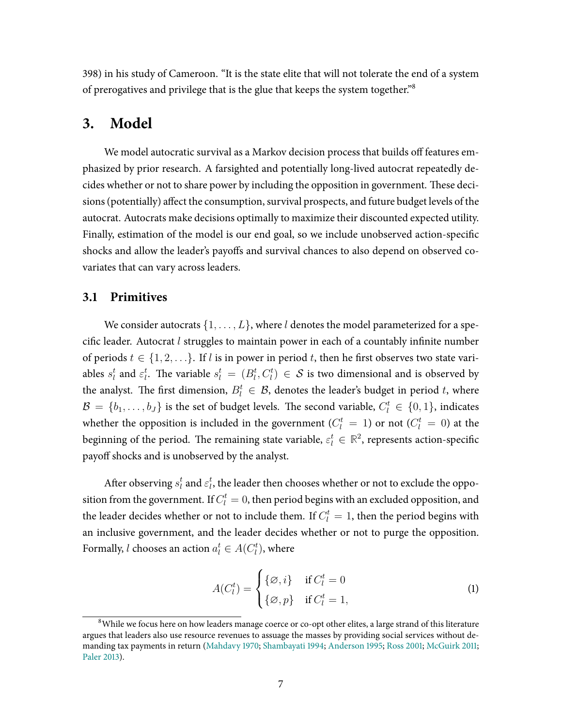398) in his study of Cameroon. "It is the state elite that will not tolerate the end of a system of prerogatives and privilege that is the glue that keeps the system together.<sup>"8</sup>

## **3. Model**

We model autocratic survival as a Markov decision process that builds off features emphasized by prior research. A farsighted and potentially long-lived autocrat repeatedly decides whether or not to share power by including the opposition in government. These decisions (potentially) affect the consumption, survival prospects, and future budget levels of the autocrat. Autocrats make decisions optimally to maximize their discounted expected utility. Finally, estimation of the model is our end goal, so we include unobserved action-specific shocks and allow the leader's payoffs and survival chances to also depend on observed covariates that can vary across leaders.

### **3.1 Primitives**

We consider autocrats  $\{1, \ldots, L\}$ , where l denotes the model parameterized for a specific leader. Autocrat  $l$  struggles to maintain power in each of a countably infinite number of periods  $t \in \{1, 2, \ldots\}$ . If l is in power in period t, then he first observes two state variables  $s_l^t$  and  $\varepsilon_l^t$ . The variable  $s_l^t\,=\, (B_l^t, C_l^t)\,\in\,\mathcal{S}$  is two dimensional and is observed by the analyst. The first dimension,  $B_l^t \in \mathcal{B}$ , denotes the leader's budget in period t, where  $\mathcal{B} = \{b_1, \ldots, b_J\}$  is the set of budget levels. The second variable,  $C_l^t \in \{0, 1\}$ , indicates whether the opposition is included in the government ( $C_l^t = 1$ ) or not ( $C_l^t = 0$ ) at the beginning of the period. The remaining state variable,  $\varepsilon_l^t \in \mathbb{R}^2$ , represents action-specific payoff shocks and is unobserved by the analyst.

After observing  $s^t_l$  and  $\varepsilon^t_l$ , the leader then chooses whether or not to exclude the opposition from the government. If  $C_l^t=0$ , then period begins with an excluded opposition, and the leader decides whether or not to include them. If  $C_l^t=1$ , then the period begins with an inclusive government, and the leader decides whether or not to purge the opposition. Formally, l chooses an action  $a_l^t \in A(C_l^t)$ , where

$$
A(C_l^t) = \begin{cases} {\{\varnothing, i\}} & \text{if } C_l^t = 0\\ {\{\varnothing, p\}} & \text{if } C_l^t = 1, \end{cases}
$$
 (1)

 $8$ While we focus here on how leaders manage coerce or co-opt other elites, a large strand of this literature argues that leaders also use resource revenues to assuage the masses by providing social services without demanding tax payments in return [\(Mahdavy](#page-31-8) [1970;](#page-31-8) [Shambayati](#page-32-14) [1994;](#page-32-14) [Anderson](#page-29-14) [1995;](#page-29-14) [Ross](#page-32-15) [2001;](#page-32-15) [McGuirk](#page-31-9) [2011;](#page-31-9) [Paler](#page-31-10) [2013\)](#page-31-10).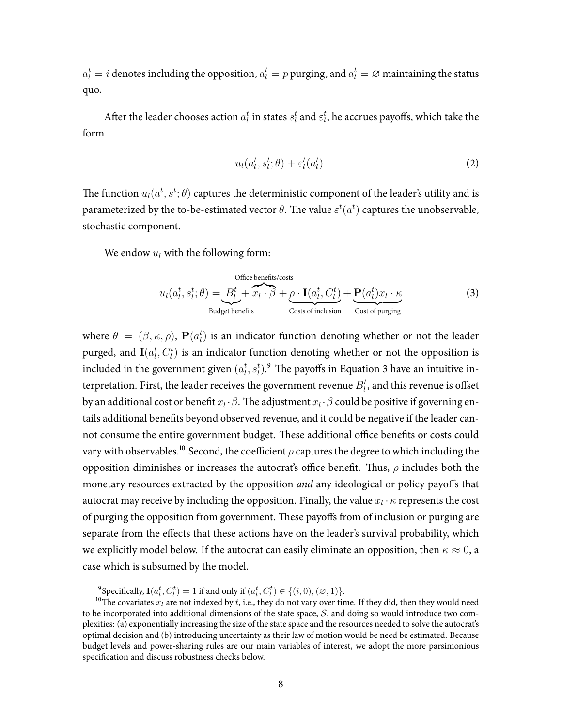$a_l^t = i$  denotes including the opposition,  $a_l^t = p$  purging, and  $a_l^t = \varnothing$  maintaining the status quo.

After the leader chooses action  $a^t_l$  in states  $s^t_l$  and  $\varepsilon^t_l$ , he accrues payoffs, which take the form

<span id="page-8-0"></span>
$$
u_l(a_l^t, s_l^t; \theta) + \varepsilon_l^t(a_l^t). \tag{2}
$$

The function  $u_l(a^t,s^t;\theta)$  captures the deterministic component of the leader's utility and is parameterized by the to-be-estimated vector  $\theta$ . The value  $\varepsilon^t(a^t)$  captures the unobservable, stochastic component.

We endow  $u_l$  with the following form:

Office benefits/costs  
\n
$$
u_l(a_l^t, s_l^t; \theta) = B_l^t + \overbrace{x_l \cdot \beta}^{D \text{tfices}} + \underbrace{\rho \cdot \mathbf{I}(a_l^t, C_l^t)}_{\text{Cost of inclusion}} + \underbrace{\mathbf{P}(a_l^t)x_l \cdot \kappa}_{\text{Cost of purging}}
$$
\n(3)

where  $\theta = (\beta, \kappa, \rho)$ ,  $\mathbf{P}(a_l^t)$  is an indicator function denoting whether or not the leader purged, and  ${\bf I}(a_l^t, C_l^t)$  is an indicator function denoting whether or not the opposition is included in the government given  $(a_l^t,s_l^t)\rlap{.}^9$  The payoffs in Equation [3](#page-8-0) have an intuitive interpretation. First, the leader receives the government revenue  $B_l^t$ , and this revenue is offset by an additional cost or benefit  $x_l \cdot \beta$ . The adjustment  $x_l \cdot \beta$  could be positive if governing entails additional benefits beyond observed revenue, and it could be negative if the leader cannot consume the entire government budget. These additional office benefits or costs could vary with observables.<sup>10</sup> Second, the coefficient  $\rho$  captures the degree to which including the opposition diminishes or increases the autocrat's office benefit. Thus,  $\rho$  includes both the monetary resources extracted by the opposition *and* any ideological or policy payoffs that autocrat may receive by including the opposition. Finally, the value  $x_l \cdot \kappa$  represents the cost of purging the opposition from government. These payoffs from of inclusion or purging are separate from the effects that these actions have on the leader's survival probability, which we explicitly model below. If the autocrat can easily eliminate an opposition, then  $\kappa \approx 0$ , a case which is subsumed by the model.

<sup>&</sup>lt;sup>9</sup>Specifically,  $I(a_l^t, C_l^t) = 1$  if and only if  $(a_l^t, C_l^t) \in \{(i, 0), (\emptyset, 1)\}.$ 

<sup>&</sup>lt;sup>10</sup>The covariates  $x_l$  are not indexed by t, i.e., they do not vary over time. If they did, then they would need to be incorporated into additional dimensions of the state space,  $S$ , and doing so would introduce two complexities: (a) exponentially increasing the size of the state space and the resources needed to solve the autocrat's optimal decision and (b) introducing uncertainty as their law of motion would be need be estimated. Because budget levels and power-sharing rules are our main variables of interest, we adopt the more parsimonious specification and discuss robustness checks below.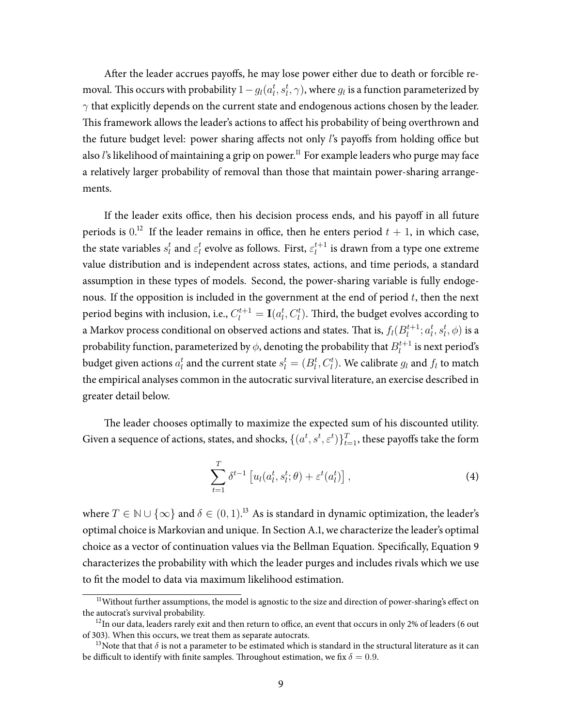After the leader accrues payoffs, he may lose power either due to death or forcible removal. This occurs with probability  $1-g_l(a_l^t,s_l^t,\gamma)$ , where  $g_l$  is a function parameterized by  $\gamma$  that explicitly depends on the current state and endogenous actions chosen by the leader. This framework allows the leader's actions to affect his probability of being overthrown and the future budget level: power sharing affects not only *l*'s payoffs from holding office but also *l*'s likelihood of maintaining a grip on power.<sup>11</sup> For example leaders who purge may face a relatively larger probability of removal than those that maintain power-sharing arrangements.

If the leader exits office, then his decision process ends, and his payoff in all future periods is  $0.12$  If the leader remains in office, then he enters period  $t + 1$ , in which case, the state variables  $s_l^t$  and  $\varepsilon_l^t$  evolve as follows. First,  $\varepsilon_l^{t+1}$  $l_l^{t+1}$  is drawn from a type one extreme value distribution and is independent across states, actions, and time periods, a standard assumption in these types of models. Second, the power-sharing variable is fully endogenous. If the opposition is included in the government at the end of period  $t$ , then the next period begins with inclusion, i.e.,  $C_l^{t+1} = \mathbf{I}(a_l^t, C_l^t).$  Third, the budget evolves according to a Markov process conditional on observed actions and states. That is,  $f_l(B_l^{t+1})$  $l_t^{t+1}; a_l^t, s_l^t, \phi)$  is a probability function, parameterized by  $\phi$ , denoting the probability that  $B^{t+1}_l$  $l_l^{t+1}$  is next period's budget given actions  $a_l^t$  and the current state  $s_l^t = (B_l^t, C_l^t).$  We calibrate  $g_l$  and  $f_l$  to match the empirical analyses common in the autocratic survival literature, an exercise described in greater detail below.

The leader chooses optimally to maximize the expected sum of his discounted utility. Given a sequence of actions, states, and shocks,  $\{(a^t,s^t,\varepsilon^t)\}_{t=1}^T$ , these payoffs take the form

$$
\sum_{t=1}^{T} \delta^{t-1} \left[ u_l(a_l^t, s_l^t; \theta) + \varepsilon^t(a_l^t) \right], \tag{4}
$$

where  $T \in \mathbb{N} \cup \{\infty\}$  and  $\delta \in (0, 1)$ .<sup>13</sup> As is standard in dynamic optimization, the leader's optimal choice is Markovian and unique. In Section [A.1,](#page-34-0) we characterize the leader's optimal choice as a vector of continuation values via the Bellman Equation. Specifically, Equation [9](#page-34-1) characterizes the probability with which the leader purges and includes rivals which we use to fit the model to data via maximum likelihood estimation.

<sup>&</sup>lt;sup>11</sup>Without further assumptions, the model is agnostic to the size and direction of power-sharing's effect on the autocrat's survival probability.

 $12$ In our data, leaders rarely exit and then return to office, an event that occurs in only 2% of leaders (6 out of 303). When this occurs, we treat them as separate autocrats.

<sup>&</sup>lt;sup>13</sup>Note that that  $\delta$  is not a parameter to be estimated which is standard in the structural literature as it can be difficult to identify with finite samples. Throughout estimation, we fix  $\delta = 0.9$ .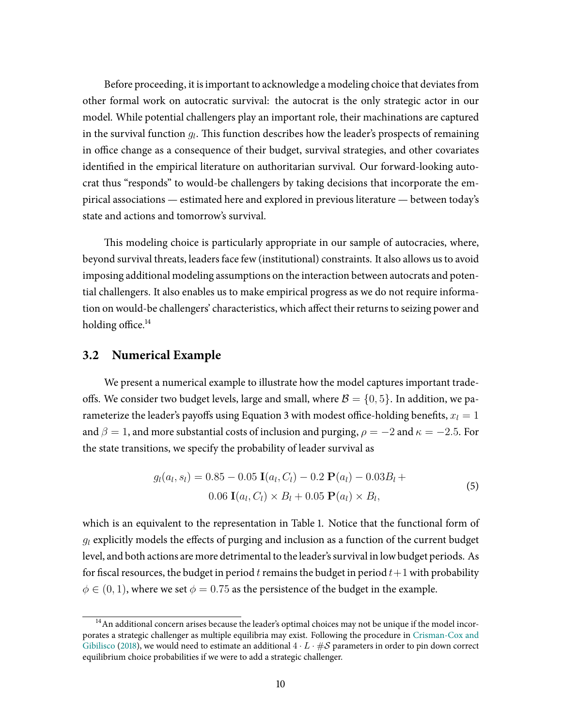Before proceeding, it isimportant to acknowledge a modeling choice that deviatesfrom other formal work on autocratic survival: the autocrat is the only strategic actor in our model. While potential challengers play an important role, their machinations are captured in the survival function  $g_l$ . This function describes how the leader's prospects of remaining in office change as a consequence of their budget, survival strategies, and other covariates identified in the empirical literature on authoritarian survival. Our forward-looking autocrat thus "responds" to would-be challengers by taking decisions that incorporate the empirical associations — estimated here and explored in previous literature — between today's state and actions and tomorrow's survival.

This modeling choice is particularly appropriate in our sample of autocracies, where, beyond survival threats, leaders face few (institutional) constraints. It also allows us to avoid imposing additional modeling assumptions on the interaction between autocrats and potential challengers. It also enables us to make empirical progress as we do not require information on would-be challengers' characteristics, which affect their returns to seizing power and holding office. $^{14}$ 

### **3.2 Numerical Example**

We present a numerical example to illustrate how the model captures important tradeoffs. We consider two budget levels, large and small, where  $\mathcal{B} = \{0, 5\}$ . In addition, we pa-rameterize the leader's payoffs using Equation [3](#page-8-0) with modest office-holding benefits,  $x_l = 1$ and  $\beta = 1$ , and more substantial costs of inclusion and purging,  $\rho = -2$  and  $\kappa = -2.5$ . For the state transitions, we specify the probability of leader survival as

<span id="page-10-0"></span>
$$
g_l(a_l, s_l) = 0.85 - 0.05 \mathbf{I}(a_l, C_l) - 0.2 \mathbf{P}(a_l) - 0.03 B_l + 0.06 \mathbf{I}(a_l, C_l) \times B_l + 0.05 \mathbf{P}(a_l) \times B_l,
$$
\n(5)

which is an equivalent to the representation in Table [1.](#page-11-0) Notice that the functional form of  $q_l$  explicitly models the effects of purging and inclusion as a function of the current budget level, and both actions are more detrimental to the leader's survival in lowbudget periods. As for fiscal resources, the budget in period t remains the budget in period  $t+1$  with probability  $\phi \in (0, 1)$ , where we set  $\phi = 0.75$  as the persistence of the budget in the example.

 $14$ An additional concern arises because the leader's optimal choices may not be unique if the model incorporates a strategic challenger as multiple equilibria may exist. Following the procedure in [Crisman-Cox](#page-30-12) and [Gibilisco](#page-30-12) [\(2018\)](#page-30-12), we would need to estimate an additional  $4 \cdot L \cdot \# S$  parameters in order to pin down correct equilibrium choice probabilities if we were to add a strategic challenger.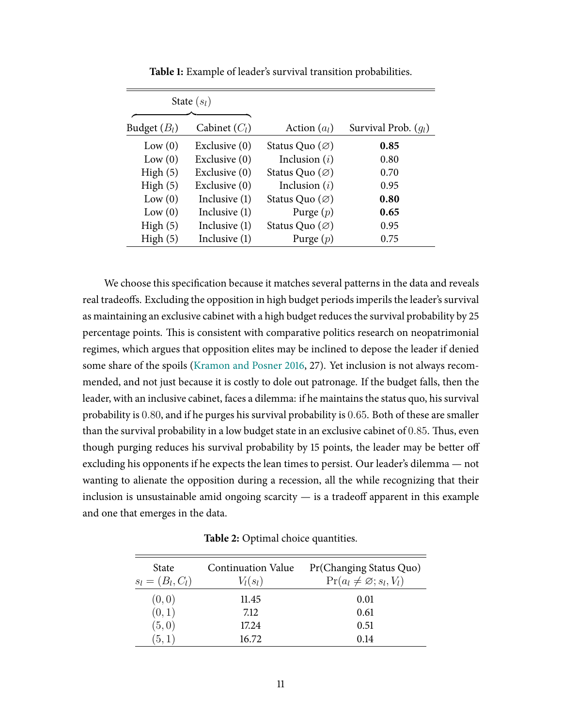<span id="page-11-0"></span>

| State $(s_l)$  |                 |                            |                        |
|----------------|-----------------|----------------------------|------------------------|
| Budget $(B_l)$ | Cabinet $(C_l)$ | Action $(a_l)$             | Survival Prob. $(q_l)$ |
| Low(0)         | Exclusive $(0)$ | Status Quo $(\varnothing)$ | 0.85                   |
| Low(0)         | Exclusive (0)   | Inclusion $(i)$            | 0.80                   |
| High(5)        | Exclusive (0)   | Status Quo $(\varnothing)$ | 0.70                   |
| High(5)        | Exclusive (0)   | Inclusion $(i)$            | 0.95                   |
| Low(0)         | Inclusive (1)   | Status Quo $(\varnothing)$ | 0.80                   |
| Low(0)         | Inclusive (1)   | Purge $(p)$                | 0.65                   |
| High(5)        | Inclusive (1)   | Status Quo $(\varnothing)$ | 0.95                   |
| High(5)        | Inclusive (1)   | Purge $(p)$                | 0.75                   |

**Table 1:** Example of leader's survival transition probabilities.

We choose this specification because it matches several patterns in the data and reveals real tradeoffs. Excluding the opposition in high budget periods imperils the leader's survival as maintaining an exclusive cabinet with a high budget reduces the survival probability by 25 percentage points. This is consistent with comparative politics research on neopatrimonial regimes, which argues that opposition elites may be inclined to depose the leader if denied some share of the spoils [\(Kramon](#page-31-6) and Posner [2016,](#page-31-6) 27). Yet inclusion is not always recommended, and not just because it is costly to dole out patronage. If the budget falls, then the leader, with an inclusive cabinet, faces a dilemma: if he maintains the status quo, his survival probability is 0.80, and if he purges his survival probability is 0.65. Both of these are smaller than the survival probability in a low budget state in an exclusive cabinet of  $0.85$ . Thus, even though purging reduces his survival probability by 15 points, the leader may be better off excluding his opponents if he expects the lean times to persist. Our leader's dilemma — not wanting to alienate the opposition during a recession, all the while recognizing that their inclusion is unsustainable amid ongoing scarcity  $-$  is a tradeoff apparent in this example and one that emerges in the data.

**Table 2:** Optimal choice quantities.

<span id="page-11-1"></span>

| <b>State</b>       | <b>Continuation Value</b> | Pr(Changing Status Quo)            |
|--------------------|---------------------------|------------------------------------|
| $s_l = (B_l, C_l)$ | $V_l(s_l)$                | $Pr(a_l \neq \emptyset; s_l, V_l)$ |
| (0,0)              | 11.45                     | 0.01                               |
| (0,1)              | 7.12                      | 0.61                               |
| (5,0)              | 17.24                     | 0.51                               |
| (5,1)              | 16.72                     | 0.14                               |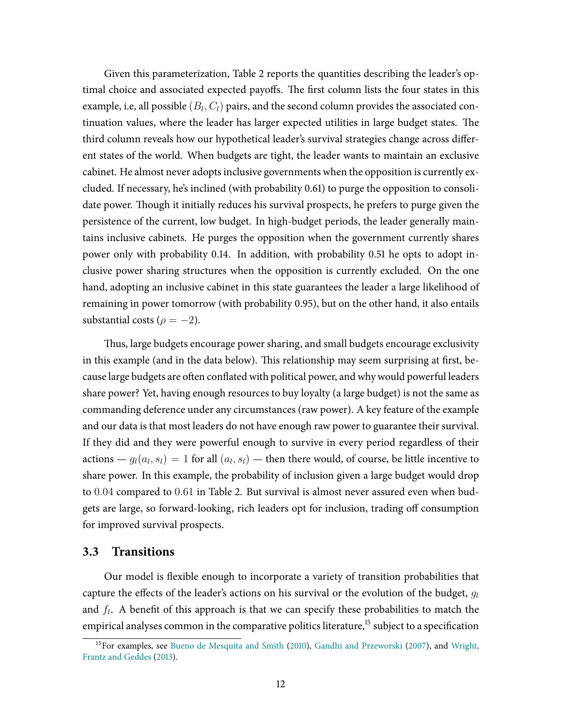Given this parameterization, Table [2](#page-11-1) reports the quantities describing the leader's optimal choice and associated expected payoffs. The first column lists the four states in this example, i.e, all possible  $(B_l, C_l)$  pairs, and the second column provides the associated continuation values, where the leader has larger expected utilities in large budget states. The third column reveals how our hypothetical leader's survival strategies change across different states of the world. When budgets are tight, the leader wants to maintain an exclusive cabinet. He almost never adopts inclusive governments when the opposition is currently excluded. If necessary, he's inclined (with probability 0.61) to purge the opposition to consolidate power. Though it initially reduces his survival prospects, he prefers to purge given the persistence of the current, low budget. In high-budget periods, the leader generally maintains inclusive cabinets. He purges the opposition when the government currently shares power only with probability 0.14. In addition, with probability 0.51 he opts to adopt inclusive power sharing structures when the opposition is currently excluded. On the one hand, adopting an inclusive cabinet in this state guarantees the leader a large likelihood of remaining in power tomorrow (with probability 0.95), but on the other hand, it also entails substantial costs ( $\rho = -2$ ).

Thus, large budgets encourage power sharing, and small budgets encourage exclusivity in this example (and in the data below). This relationship may seem surprising at first, because large budgets are often conflated with political power, and why would powerful leaders share power? Yet, having enough resources to buy loyalty (a large budget) is not the same as commanding deference under any circumstances (raw power). A key feature of the example and our data is that most leaders do not have enough raw power to guarantee their survival. If they did and they were powerful enough to survive in every period regardless of their actions —  $g_l(a_l, s_l) = 1$  for all  $(a_l, s_l)$  — then there would, of course, be little incentive to share power. In this example, the probability of inclusion given a large budget would drop to 0.04 compared to 0.61 in Table [2.](#page-11-1) But survival is almost never assured even when budgets are large, so forward-looking, rich leaders opt for inclusion, trading off consumption for improved survival prospects.

### **3.3 Transitions**

Our model is flexible enough to incorporate a variety of transition probabilities that capture the effects of the leader's actions on his survival or the evolution of the budget,  $q_l$ and  $f_l$ . A benefit of this approach is that we can specify these probabilities to match the empirical analyses common in the comparative politics literature.<sup>15</sup> subject to a specification

<sup>&</sup>lt;sup>15</sup> For examples, see Bueno de [Mesquita and](#page-29-6) Smith [\(2010\)](#page-29-6), Gandhi and [Przeworski](#page-30-6) [\(2007\)](#page-30-6), and [Wright,](#page-32-1) Frantz and [Geddes](#page-32-1) [\(2013\)](#page-32-1).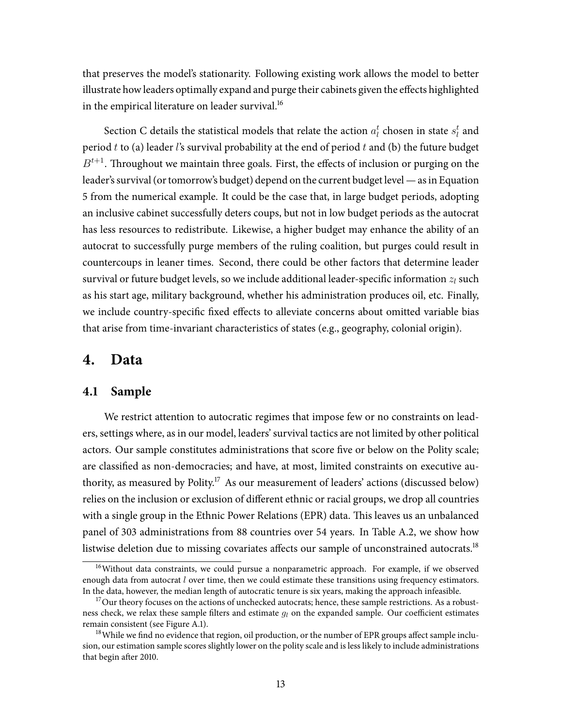that preserves the model's stationarity. Following existing work allows the model to better illustrate how leaders optimally expand and purge their cabinets given the effects highlighted in the empirical literature on leader survival.<sup>16</sup>

Section [C](#page-38-0) details the statistical models that relate the action  $a_l^t$  chosen in state  $s_l^t$  and period  $t$  to (a) leader  $l$ 's survival probability at the end of period  $t$  and (b) the future budget  $B^{t+1}$ . Throughout we maintain three goals. First, the effects of inclusion or purging on the leader's survival (or tomorrow's budget) depend on the current budget level — as in Equation [5](#page-10-0) from the numerical example. It could be the case that, in large budget periods, adopting an inclusive cabinet successfully deters coups, but not in low budget periods as the autocrat has less resources to redistribute. Likewise, a higher budget may enhance the ability of an autocrat to successfully purge members of the ruling coalition, but purges could result in countercoups in leaner times. Second, there could be other factors that determine leader survival or future budget levels, so we include additional leader-specific information  $z_l$  such as his start age, military background, whether his administration produces oil, etc. Finally, we include country-specific fixed effects to alleviate concerns about omitted variable bias that arise from time-invariant characteristics of states (e.g., geography, colonial origin).

# **4. Data**

### **4.1 Sample**

We restrict attention to autocratic regimes that impose few or no constraints on leaders, settings where, as in our model, leaders' survival tactics are not limited by other political actors. Our sample constitutes administrations that score five or below on the Polity scale; are classified as non-democracies; and have, at most, limited constraints on executive authority, as measured by Polity.<sup>17</sup> As our measurement of leaders' actions (discussed below) relies on the inclusion or exclusion of different ethnic or racial groups, we drop all countries with a single group in the Ethnic Power Relations (EPR) data. This leaves us an unbalanced panel of 303 administrations from 88 countries over 54 years. In Table [A.2,](#page-36-0) we show how listwise deletion due to missing covariates affects our sample of unconstrained autocrats.<sup>18</sup>

<sup>&</sup>lt;sup>16</sup>Without data constraints, we could pursue a nonparametric approach. For example, if we observed enough data from autocrat  $l$  over time, then we could estimate these transitions using frequency estimators. In the data, however, the median length of autocratic tenure is six years, making the approach infeasible.

 $17$ Our theory focuses on the actions of unchecked autocrats; hence, these sample restrictions. As a robustness check, we relax these sample filters and estimate  $g_l$  on the expanded sample. Our coefficient estimates remain consistent (see Figure [A.1\)](#page-46-0).

 $18$ While we find no evidence that region, oil production, or the number of EPR groups affect sample inclusion, our estimation sample scores slightly lower on the polity scale and is less likely to include administrations that begin after 2010.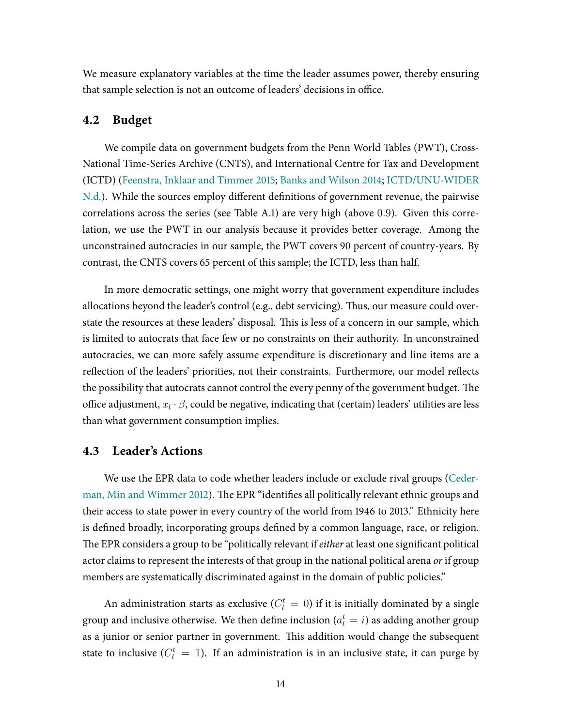We measure explanatory variables at the time the leader assumes power, thereby ensuring that sample selection is not an outcome of leaders' decisions in office.

## **4.2 Budget**

We compile data on government budgets from the Penn World Tables (PWT), Cross-National Time-Series Archive (CNTS), and International Centre for Tax and Development (ICTD) [\(Feenstra,](#page-30-13) Inklaar and Timmer [2015;](#page-30-13) Banks and [Wilson](#page-29-15) [2014;](#page-29-15) [ICTD/UNU-WIDER](#page-31-11) [N.d.\)](#page-31-11). While the sources employ different definitions of government revenue, the pairwise correlations across the series (see Table [A.1\)](#page-35-0) are very high (above 0.9). Given this correlation, we use the PWT in our analysis because it provides better coverage. Among the unconstrained autocracies in our sample, the PWT covers 90 percent of country-years. By contrast, the CNTS covers 65 percent of this sample; the ICTD, less than half.

In more democratic settings, one might worry that government expenditure includes allocations beyond the leader's control (e.g., debt servicing). Thus, our measure could overstate the resources at these leaders' disposal. This is less of a concern in our sample, which is limited to autocrats that face few or no constraints on their authority. In unconstrained autocracies, we can more safely assume expenditure is discretionary and line items are a reflection of the leaders' priorities, not their constraints. Furthermore, our model reflects the possibility that autocrats cannot control the every penny of the government budget. The office adjustment,  $x_l \cdot \beta$ , could be negative, indicating that (certain) leaders' utilities are less than what government consumption implies.

## **4.3 Leader's Actions**

We use the EPR data to code whether leaders include or exclude rival groups [\(Ceder-](#page-30-14)man, Min and [Wimmer](#page-30-14) [2012\)](#page-30-14). The EPR "identifies all politically relevant ethnic groups and their access to state power in every country of the world from 1946 to 2013." Ethnicity here is defined broadly, incorporating groups defined by a common language, race, or religion. The EPR considers a group to be "politically relevant if either at least one significant political actor claims to represent the interests of that group in the national political arena or if group members are systematically discriminated against in the domain of public policies."

An administration starts as exclusive ( $C^t_l\,=\,0$ ) if it is initially dominated by a single group and inclusive otherwise. We then define inclusion  $(a_l^t = i)$  as adding another group as a junior or senior partner in government. This addition would change the subsequent state to inclusive ( $C_l^t = 1$ ). If an administration is in an inclusive state, it can purge by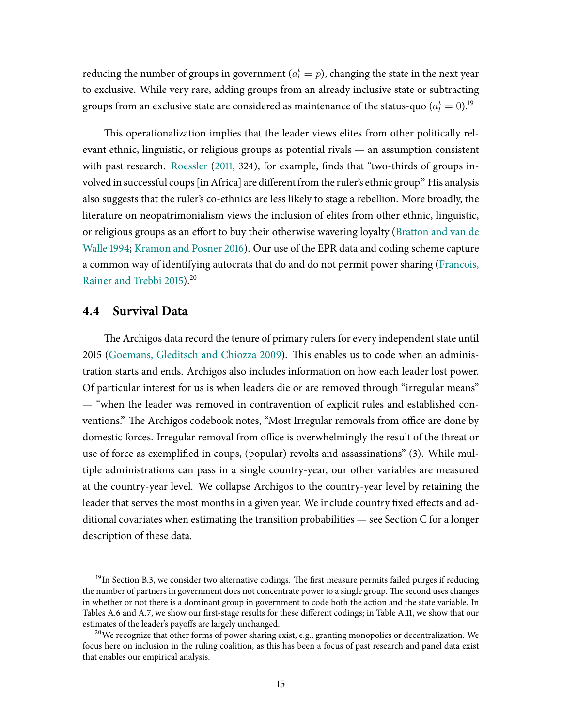reducing the number of groups in government ( $a_l^t=p$ ), changing the state in the next year to exclusive. While very rare, adding groups from an already inclusive state or subtracting groups from an exclusive state are considered as maintenance of the status-quo ( $a_l^t=0$ ). $^{\rm 19}$ 

This operationalization implies that the leader views elites from other politically relevant ethnic, linguistic, or religious groups as potential rivals — an assumption consistent with past research. [Roessler](#page-32-6) [\(2011,](#page-32-6) 324), for example, finds that "two-thirds of groups involved in successful coups [in Africa] are different from the ruler's ethnic group." His analysis also suggests that the ruler's co-ethnics are less likely to stage a rebellion. More broadly, the literature on neopatrimonialism views the inclusion of elites from other ethnic, linguistic, or religious groups as an effort to buy their otherwise wavering loyalty [\(Bratton](#page-29-5) and van de [Walle](#page-29-5) [1994;](#page-29-5) [Kramon](#page-31-6) and Posner [2016\)](#page-31-6). Our use of the EPR data and coding scheme capture a common way of identifying autocrats that do and do not permit power sharing [\(Francois,](#page-30-3) [Rainer](#page-30-3) and Trebbi [2015\)](#page-30-3).<sup>20</sup>

### **4.4 Survival Data**

The Archigos data record the tenure of primary rulers for every independent state until 2015 (Goemans, Gleditsch [and Chiozza](#page-31-12) [2009\)](#page-31-12). This enables us to code when an administration starts and ends. Archigos also includes information on how each leader lost power. Of particular interest for us is when leaders die or are removed through "irregular means" — "when the leader was removed in contravention of explicit rules and established conventions." The Archigos codebook notes, "Most Irregular removals from office are done by domestic forces. Irregular removal from office is overwhelmingly the result of the threat or use of force as exemplified in coups, (popular) revolts and assassinations" (3). While multiple administrations can pass in a single country-year, our other variables are measured at the country-year level. We collapse Archigos to the country-year level by retaining the leader that serves the most months in a given year. We include country fixed effects and additional covariates when estimating the transition probabilities — see Section [C](#page-38-0) for a longer description of these data.

<sup>&</sup>lt;sup>19</sup>In Section [B.3,](#page-37-0) we consider two alternative codings. The first measure permits failed purges if reducing the number of partners in government does not concentrate power to a single group. The second uses changes in whether or not there is a dominant group in government to code both the action and the state variable. In Tables [A.6](#page-43-0) and [A.7,](#page-44-0) we show our first-stage results for these different codings; in Table [A.11,](#page-52-0) we show that our estimates of the leader's payoffs are largely unchanged.

<sup>&</sup>lt;sup>20</sup>We recognize that other forms of power sharing exist, e.g., granting monopolies or decentralization. We focus here on inclusion in the ruling coalition, as this has been a focus of past research and panel data exist that enables our empirical analysis.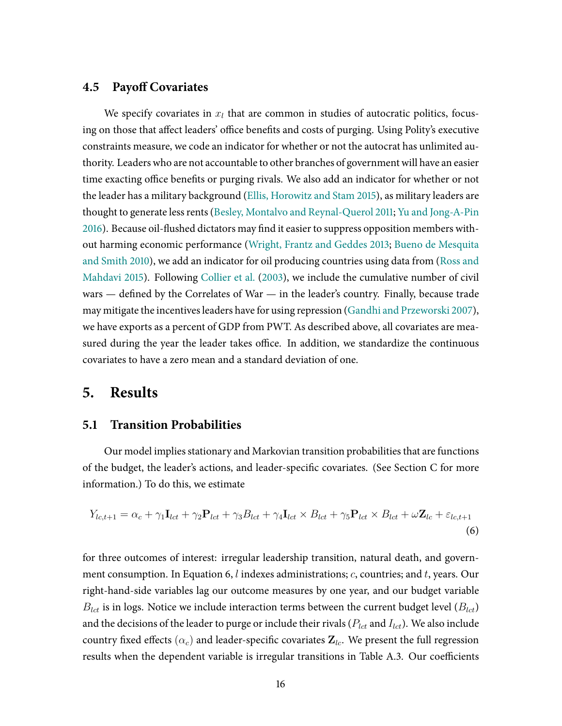## **4.5 Payoff Covariates**

We specify covariates in  $x_l$  that are common in studies of autocratic politics, focusing on those that affect leaders' office benefits and costs of purging. Using Polity's executive constraints measure, we code an indicator for whether or not the autocrat has unlimited authority. Leaders who are not accountable to other branches of government will have an easier time exacting office benefits or purging rivals. We also add an indicator for whether or not the leader has a military background (Ellis, [Horowitz](#page-30-15) and Stam [2015\)](#page-30-15), as military leaders are thought to generate less rents(Besley, Montalvo and [Reynal-Querol](#page-29-16) [2011;](#page-29-16) Yu and [Jong-A-Pin](#page-32-16) [2016\)](#page-32-16). Because oil-flushed dictators may find it easier to suppress opposition members without harming economic performance [\(Wright, Frantz](#page-32-1) and Geddes [2013;](#page-32-1) Bueno de [Mesquita](#page-29-6) and [Smith](#page-29-6) [2010\)](#page-29-6), we add an indicator for oil producing countries using data from [\(Ross](#page-32-17) and [Mahdavi](#page-32-17) [2015\)](#page-32-17). Following [Collier](#page-30-16) et al. [\(2003\)](#page-30-16), we include the cumulative number of civil wars  $-$  defined by the Correlates of War  $-$  in the leader's country. Finally, because trade may mitigate the incentivesleaders have for using repression (Gandhi and [Przeworski](#page-30-6) [2007\)](#page-30-6), we have exports as a percent of GDP from PWT. As described above, all covariates are measured during the year the leader takes office. In addition, we standardize the continuous covariates to have a zero mean and a standard deviation of one.

## **5. Results**

### **5.1 Transition Probabilities**

Our model implies stationary and Markovian transition probabilities that are functions of the budget, the leader's actions, and leader-specific covariates. (See Section [C](#page-38-0) for more information.) To do this, we estimate

<span id="page-16-0"></span>
$$
Y_{lc,t+1} = \alpha_c + \gamma_1 \mathbf{I}_{lct} + \gamma_2 \mathbf{P}_{lct} + \gamma_3 B_{lct} + \gamma_4 \mathbf{I}_{lct} \times B_{lct} + \gamma_5 \mathbf{P}_{lct} \times B_{lct} + \omega \mathbf{Z}_{lc} + \varepsilon_{lc,t+1}
$$
\n(6)

for three outcomes of interest: irregular leadership transition, natural death, and govern-ment consumption. In Equation [6,](#page-16-0)  $l$  indexes administrations;  $c$ , countries; and  $t$ , years. Our right-hand-side variables lag our outcome measures by one year, and our budget variable  $B_{lct}$  is in logs. Notice we include interaction terms between the current budget level  $(B_{lct})$ and the decisions of the leader to purge or include their rivals ( $P_{lct}$  and  $I_{lct}$ ). We also include country fixed effects ( $\alpha_c$ ) and leader-specific covariates  $\mathbf{Z}_{lc}$ . We present the full regression results when the dependent variable is irregular transitions in Table [A.3.](#page-40-0) Our coefficients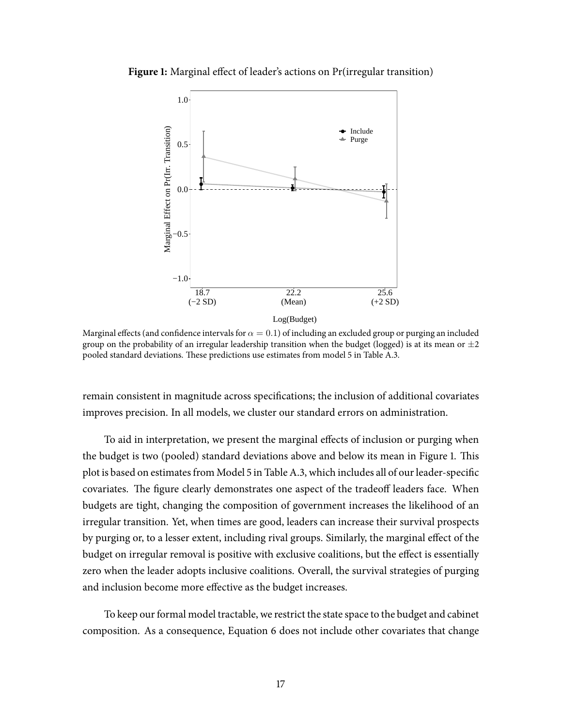<span id="page-17-0"></span>**Figure 1:** Marginal effect of leader's actions on Pr(irregular transition)



Marginal effects (and confidence intervals for  $\alpha = 0.1$ ) of including an excluded group or purging an included group on the probability of an irregular leadership transition when the budget (logged) is at its mean or  $\pm 2$ pooled standard deviations. These predictions use estimates from model 5 in Table [A.3.](#page-40-0)

remain consistent in magnitude across specifications; the inclusion of additional covariates improves precision. In all models, we cluster our standard errors on administration.

To aid in interpretation, we present the marginal effects of inclusion or purging when the budget is two (pooled) standard deviations above and below its mean in Figure [1.](#page-17-0) This plot is based on estimates from Model 5 in Table [A.3,](#page-40-0) which includes all of our leader-specific covariates. The figure clearly demonstrates one aspect of the tradeoff leaders face. When budgets are tight, changing the composition of government increases the likelihood of an irregular transition. Yet, when times are good, leaders can increase their survival prospects by purging or, to a lesser extent, including rival groups. Similarly, the marginal effect of the budget on irregular removal is positive with exclusive coalitions, but the effect is essentially zero when the leader adopts inclusive coalitions. Overall, the survival strategies of purging and inclusion become more effective as the budget increases.

To keep our formal model tractable, we restrict the state space to the budget and cabinet composition. As a consequence, Equation [6](#page-16-0) does not include other covariates that change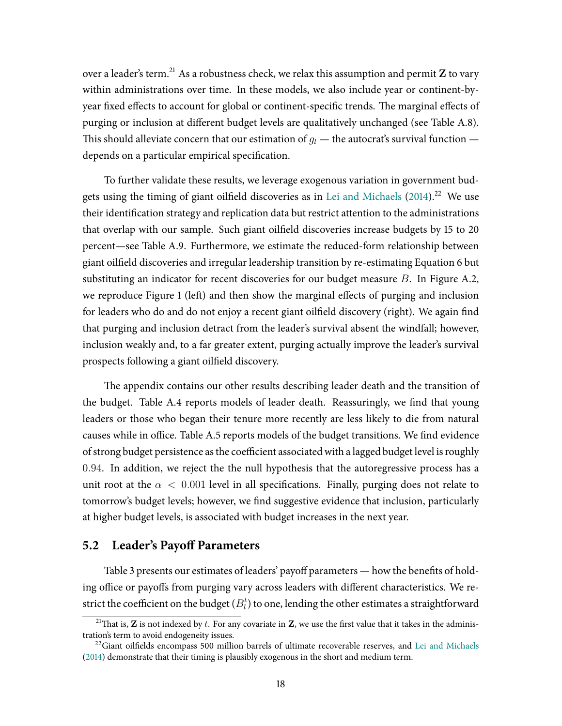over a leader's term.<sup>21</sup> As a robustness check, we relax this assumption and permit  $Z$  to vary within administrations over time. In these models, we also include year or continent-byyear fixed effects to account for global or continent-specific trends. The marginal effects of purging or inclusion at different budget levels are qualitatively unchanged (see Table [A.8\)](#page-45-0). This should alleviate concern that our estimation of  $g_l$  — the autocrat's survival function depends on a particular empirical specification.

To further validate these results, we leverage exogenous variation in government bud-gets using the timing of giant oilfield discoveries as in Lei and [Michaels](#page-31-13)  $(2014).^{22}$  $(2014).^{22}$  We use their identification strategy and replication data but restrict attention to the administrations that overlap with our sample. Such giant oilûeld discoveries increase budgets by 15 to 20 percent—see Table [A.9.](#page-47-0) Furthermore, we estimate the reduced-form relationship between giant oilfield discoveries and irregular leadership transition by re-estimating Equation [6](#page-16-0) but substituting an indicator for recent discoveries for our budget measure  $B$ . In Figure [A.2,](#page-48-0) we reproduce Figure [1](#page-17-0) (left) and then show the marginal effects of purging and inclusion for leaders who do and do not enjoy a recent giant oilfield discovery (right). We again find that purging and inclusion detract from the leader's survival absent the windfall; however, inclusion weakly and, to a far greater extent, purging actually improve the leader's survival prospects following a giant oilfield discovery.

The appendix contains our other results describing leader death and the transition of the budget. Table [A.4](#page-41-0) reports models of leader death. Reassuringly, we find that young leaders or those who began their tenure more recently are less likely to die from natural causes while in office. Table [A.5](#page-42-0) reports models of the budget transitions. We find evidence of strong budget persistence as the coefficient associated with a lagged budget level is roughly 0.94. In addition, we reject the the null hypothesis that the autoregressive process has a unit root at the  $\alpha < 0.001$  level in all specifications. Finally, purging does not relate to tomorrow's budget levels; however, we find suggestive evidence that inclusion, particularly at higher budget levels, is associated with budget increases in the next year.

## **5.2** Leader's Payoff Parameters

Table [3](#page-19-0) presents our estimates of leaders' payoff parameters — how the benefits of holding office or payoffs from purging vary across leaders with different characteristics. We restrict the coefficient on the budget  $(B_l^t)$  to one, lending the other estimates a straightforward

<sup>&</sup>lt;sup>21</sup>That is, **Z** is not indexed by t. For any covariate in **Z**, we use the first value that it takes in the administration's term to avoid endogeneity issues.

 $22$ Giant oilfields encompass 500 million barrels of ultimate recoverable reserves, and Lei and [Michaels](#page-31-13) [\(2014\)](#page-31-13) demonstrate that their timing is plausibly exogenous in the short and medium term.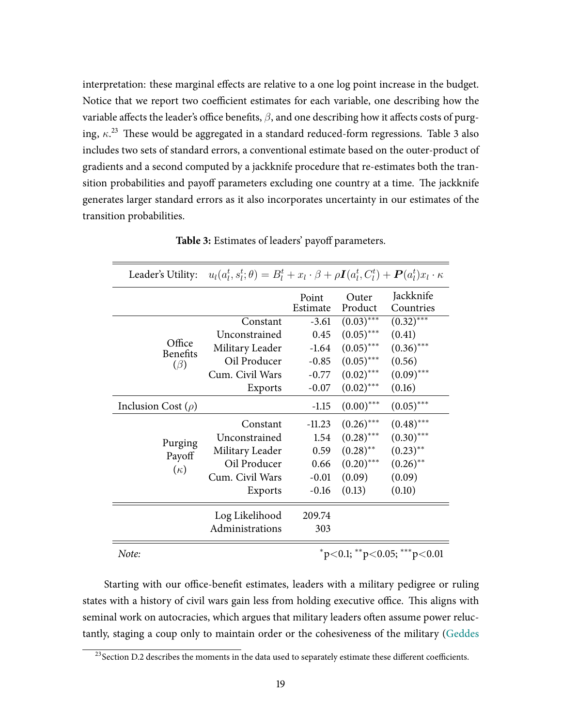interpretation: these marginal effects are relative to a one log point increase in the budget. Notice that we report two coefficient estimates for each variable, one describing how the variable affects the leader's office benefits,  $\beta$ , and one describing how it affects costs of purging,  $\kappa$ <sup>2[3](#page-19-0)</sup> These would be aggregated in a standard reduced-form regressions. Table 3 also includes two sets of standard errors, a conventional estimate based on the outer-product of gradients and a second computed by a jackknife procedure that re-estimates both the transition probabilities and payoff parameters excluding one country at a time. The jackknife generates larger standard errors as it also incorporates uncertainty in our estimates of the transition probabilities.

<span id="page-19-0"></span>

|                           | Leader's Utility: $u_l(a_l^t, s_l^t; \theta) = B_l^t + x_l \cdot \beta + \rho I(a_l^t, C_l^t) + P(a_l^t) x_l \cdot \kappa$ |                   |                        |                                   |
|---------------------------|----------------------------------------------------------------------------------------------------------------------------|-------------------|------------------------|-----------------------------------|
|                           |                                                                                                                            | Point<br>Estimate | Outer<br>Product       | Jackknife<br>Countries            |
|                           | Constant                                                                                                                   | $-3.61$           | $(0.03)$ ***           | $(0.32)$ ***                      |
|                           | Unconstrained                                                                                                              | 0.45              | $(0.05)$ ***           | (0.41)                            |
| Office<br><b>Benefits</b> | Military Leader                                                                                                            | $-1.64$           | $(0.05)$ ***           | $(0.36)$ ***                      |
| $(\beta)$                 | Oil Producer                                                                                                               | $-0.85$           | $(0.05)$ ***           | (0.56)                            |
|                           | Cum. Civil Wars                                                                                                            | $-0.77$           | $(0.02)$ ***           | $(0.09)$ ***                      |
|                           | Exports                                                                                                                    | $-0.07$           | $(0.02)$ ***           | (0.16)                            |
| Inclusion Cost $(\rho)$   |                                                                                                                            | $-1.15$           | $(0.00)$ ***           | $(0.05)$ ***                      |
|                           | Constant                                                                                                                   | $-11.23$          | $(0.26)$ ***           | $(0.48)$ ***                      |
|                           | Unconstrained                                                                                                              | 1.54              | $(0.28)$ ***           | $(0.30)$ ***                      |
| Purging<br>Payoff         | Military Leader                                                                                                            | 0.59              | $(0.28)$ <sup>**</sup> | $(0.23)$ **                       |
| $(\kappa)$                | Oil Producer                                                                                                               | 0.66              | $(0.20)$ ***           | $(0.26)$ **                       |
|                           | Cum. Civil Wars                                                                                                            | $-0.01$           | (0.09)                 | (0.09)                            |
|                           | Exports                                                                                                                    | $-0.16$           | (0.13)                 | (0.10)                            |
|                           | Log Likelihood                                                                                                             | 209.74            |                        |                                   |
|                           | Administrations                                                                                                            | 303               |                        |                                   |
| Note:                     |                                                                                                                            |                   |                        | $*p<0.1$ ; $*p<0.05$ ; $**p<0.01$ |

**Table 3:** Estimates of leaders' payoff parameters.

Starting with our office-benefit estimates, leaders with a military pedigree or ruling states with a history of civil wars gain less from holding executive office. This aligns with seminal work on autocracies, which argues that military leaders often assume power reluctantly, staging a coup only to maintain order or the cohesiveness of the military [\(Geddes](#page-30-7)

<sup>&</sup>lt;sup>23</sup> Section [D.2](#page-50-0) describes the moments in the data used to separately estimate these different coefficients.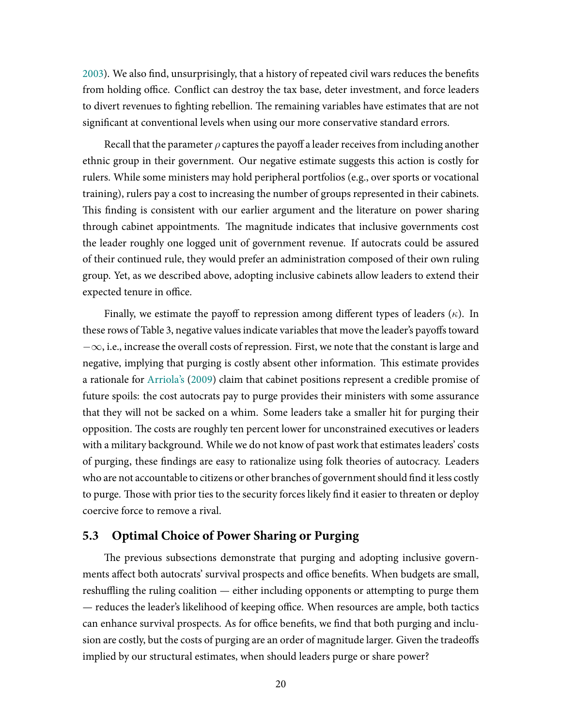[2003\)](#page-30-7). We also find, unsurprisingly, that a history of repeated civil wars reduces the benefits from holding office. Conflict can destroy the tax base, deter investment, and force leaders to divert revenues to fighting rebellion. The remaining variables have estimates that are not significant at conventional levels when using our more conservative standard errors.

Recall that the parameter  $\rho$  captures the payoff a leader receives from including another ethnic group in their government. Our negative estimate suggests this action is costly for rulers. While some ministers may hold peripheral portfolios (e.g., over sports or vocational training), rulers pay a cost to increasing the number of groups represented in their cabinets. This finding is consistent with our earlier argument and the literature on power sharing through cabinet appointments. The magnitude indicates that inclusive governments cost the leader roughly one logged unit of government revenue. If autocrats could be assured of their continued rule, they would prefer an administration composed of their own ruling group. Yet, as we described above, adopting inclusive cabinets allow leaders to extend their expected tenure in office.

Finally, we estimate the payoff to repression among different types of leaders  $(\kappa)$ . In these rows of Table [3,](#page-19-0) negative values indicate variables that move the leader's payoffs toward  $-\infty$ , i.e., increase the overall costs of repression. First, we note that the constant is large and negative, implying that purging is costly absent other information. This estimate provides a rationale for [Arriola's](#page-29-1) [\(2009\)](#page-29-1) claim that cabinet positions represent a credible promise of future spoils: the cost autocrats pay to purge provides their ministers with some assurance that they will not be sacked on a whim. Some leaders take a smaller hit for purging their opposition. The costs are roughly ten percent lower for unconstrained executives or leaders with a military background. While we do not know of past work that estimates leaders' costs of purging, these ûndings are easy to rationalize using folk theories of autocracy. Leaders who are not accountable to citizens or other branches of government should find it less costly to purge. Those with prior ties to the security forces likely find it easier to threaten or deploy coercive force to remove a rival.

## **5.3 Optimal Choice of Power Sharing or Purging**

The previous subsections demonstrate that purging and adopting inclusive governments affect both autocrats' survival prospects and office benefits. When budgets are small, reshuffling the ruling coalition — either including opponents or attempting to purge them — reduces the leader's likelihood of keeping office. When resources are ample, both tactics can enhance survival prospects. As for office benefits, we find that both purging and inclusion are costly, but the costs of purging are an order of magnitude larger. Given the tradeoffs implied by our structural estimates, when should leaders purge or share power?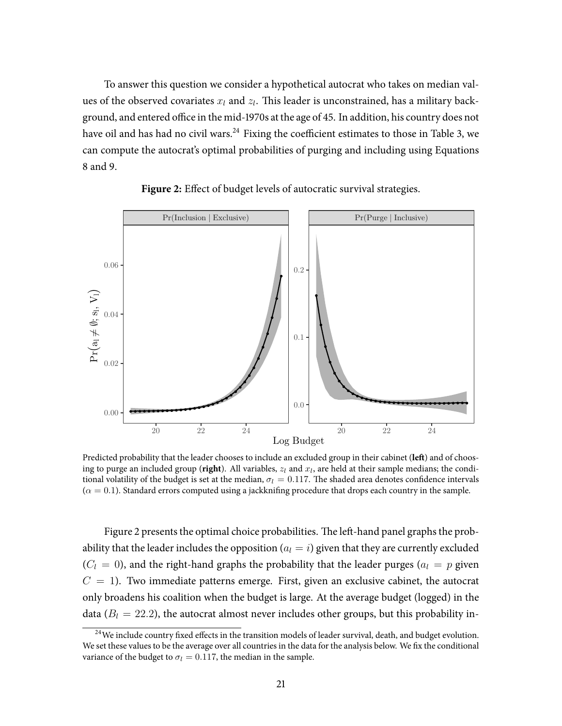To answer this question we consider a hypothetical autocrat who takes on median values of the observed covariates  $x_l$  and  $z_l$ . This leader is unconstrained, has a military background, and entered office in the mid-1970s at the age of 45. In addition, his country does not have oil and has had no civil wars. $^{24}$  Fixing the coefficient estimates to those in Table [3,](#page-19-0) we can compute the autocrat's optimal probabilities of purging and including using Equations [8](#page-34-2) and [9.](#page-34-1)

<span id="page-21-0"></span>



Predicted probability that the leader chooses to include an excluded group in their cabinet (left) and of choosing to purge an included group (**right**). All variables,  $z_l$  and  $x_l$ , are held at their sample medians; the conditional volatility of the budget is set at the median,  $\sigma_l = 0.117$ . The shaded area denotes confidence intervals  $(\alpha = 0.1)$ . Standard errors computed using a jackknifing procedure that drops each country in the sample.

Figure [2](#page-21-0) presents the optimal choice probabilities. The left-hand panel graphs the probability that the leader includes the opposition  $(a<sub>l</sub> = i)$  given that they are currently excluded  $(C_l = 0)$ , and the right-hand graphs the probability that the leader purges  $(a_l = p)$  given  $C = 1$ ). Two immediate patterns emerge. First, given an exclusive cabinet, the autocrat only broadens his coalition when the budget is large. At the average budget (logged) in the data ( $B_l = 22.2$ ), the autocrat almost never includes other groups, but this probability in-

<sup>&</sup>lt;sup>24</sup>We include country fixed effects in the transition models of leader survival, death, and budget evolution. We set these values to be the average over all countries in the data for the analysis below. We fix the conditional variance of the budget to  $\sigma_l = 0.117$ , the median in the sample.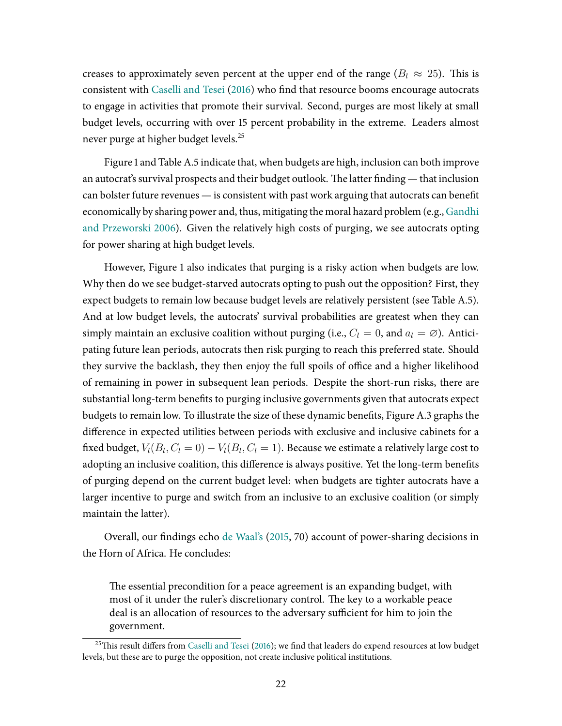creases to approximately seven percent at the upper end of the range ( $B<sub>l</sub> \approx 25$ ). This is consistent with [Caselli](#page-29-3) and Tesei [\(2016\)](#page-29-3) who find that resource booms encourage autocrats to engage in activities that promote their survival. Second, purges are most likely at small budget levels, occurring with over 15 percent probability in the extreme. Leaders almost never purge at higher budget levels.<sup>25</sup>

Figure [1](#page-17-0) and Table [A.5](#page-42-0) indicate that, when budgets are high, inclusion can both improve an autocrat's survival prospects and their budget outlook. The latter finding — that inclusion can bolster future revenues — is consistent with past work arguing that autocrats can benefit economically by sharing power and, thus, mitigating the moral hazard problem (e.g., [Gandhi](#page-30-5) and [Przeworski](#page-30-5) [2006\)](#page-30-5). Given the relatively high costs of purging, we see autocrats opting for power sharing at high budget levels.

However, Figure [1](#page-17-0) also indicates that purging is a risky action when budgets are low. Why then do we see budget-starved autocrats opting to push out the opposition? First, they expect budgets to remain low because budget levels are relatively persistent (see Table [A.5\)](#page-42-0). And at low budget levels, the autocrats' survival probabilities are greatest when they can simply maintain an exclusive coalition without purging (i.e.,  $C_l = 0$ , and  $a_l = \emptyset$ ). Anticipating future lean periods, autocrats then risk purging to reach this preferred state. Should they survive the backlash, they then enjoy the full spoils of office and a higher likelihood of remaining in power in subsequent lean periods. Despite the short-run risks, there are substantial long-term benefits to purging inclusive governments given that autocrats expect budgets to remain low. To illustrate the size of these dynamic benefits, Figure [A.3](#page-53-0) graphs the difference in expected utilities between periods with exclusive and inclusive cabinets for a fixed budget,  $V_l(B_l, C_l = 0) - V_l(B_l, C_l = 1)$ . Because we estimate a relatively large cost to adopting an inclusive coalition, this difference is always positive. Yet the long-term benefits of purging depend on the current budget level: when budgets are tighter autocrats have a larger incentive to purge and switch from an inclusive to an exclusive coalition (or simply maintain the latter).

Overall, our findings echo de [Waal's](#page-30-0) [\(2015,](#page-30-0) 70) account of power-sharing decisions in the Horn of Africa. He concludes:

The essential precondition for a peace agreement is an expanding budget, with most of it under the ruler's discretionary control. The key to a workable peace deal is an allocation of resources to the adversary sufficient for him to join the government.

 $^{25}$ This result differs from [Caselli](#page-29-3) and Tesei [\(2016\)](#page-29-3); we find that leaders do expend resources at low budget levels, but these are to purge the opposition, not create inclusive political institutions.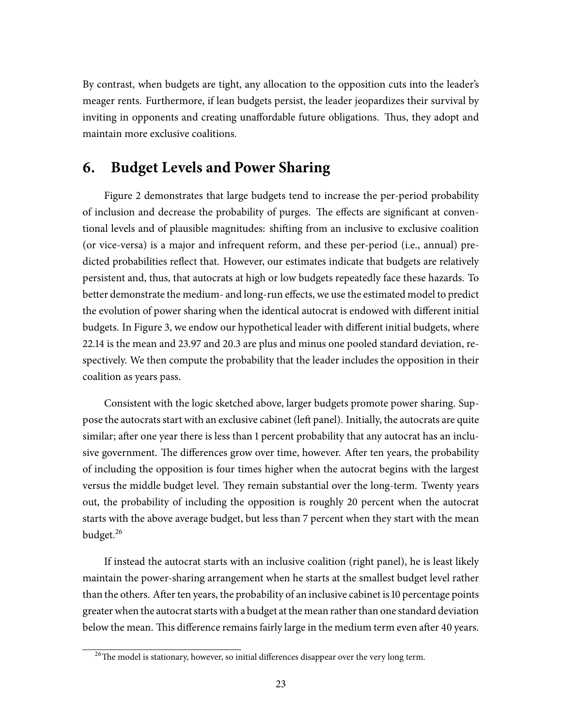By contrast, when budgets are tight, any allocation to the opposition cuts into the leader's meager rents. Furthermore, if lean budgets persist, the leader jeopardizes their survival by inviting in opponents and creating unaffordable future obligations. Thus, they adopt and maintain more exclusive coalitions.

# **6. Budget Levels and Power Sharing**

Figure [2](#page-21-0) demonstrates that large budgets tend to increase the per-period probability of inclusion and decrease the probability of purges. The effects are significant at conventional levels and of plausible magnitudes: shiing from an inclusive to exclusive coalition (or vice-versa) is a major and infrequent reform, and these per-period (i.e., annual) predicted probabilities reflect that. However, our estimates indicate that budgets are relatively persistent and, thus, that autocrats at high or low budgets repeatedly face these hazards. To better demonstrate the medium- and long-run effects, we use the estimated model to predict the evolution of power sharing when the identical autocrat is endowed with different initial budgets. In Figure [3,](#page-24-0) we endow our hypothetical leader with different initial budgets, where 22.14 is the mean and 23.97 and 20.3 are plus and minus one pooled standard deviation, respectively. We then compute the probability that the leader includes the opposition in their coalition as years pass.

Consistent with the logic sketched above, larger budgets promote power sharing. Suppose the autocrats start with an exclusive cabinet (left panel). Initially, the autocrats are quite similar; after one year there is less than 1 percent probability that any autocrat has an inclusive government. The differences grow over time, however. After ten years, the probability of including the opposition is four times higher when the autocrat begins with the largest versus the middle budget level. They remain substantial over the long-term. Twenty years out, the probability of including the opposition is roughly 20 percent when the autocrat starts with the above average budget, but less than 7 percent when they start with the mean budget. 26

If instead the autocrat starts with an inclusive coalition (right panel), he is least likely maintain the power-sharing arrangement when he starts at the smallest budget level rather than the others. After ten years, the probability of an inclusive cabinet is 10 percentage points greaterwhen the autocrat startswith a budget at the mean rather than one standard deviation below the mean. This difference remains fairly large in the medium term even after 40 years.

<sup>&</sup>lt;sup>26</sup>The model is stationary, however, so initial differences disappear over the very long term.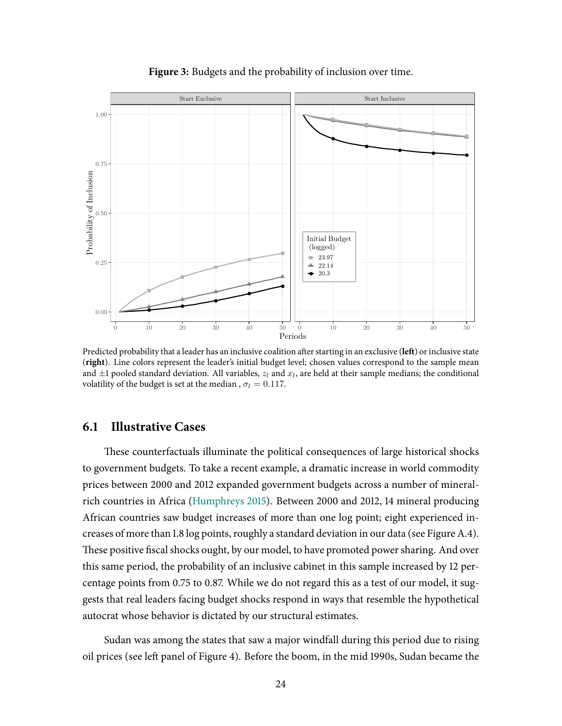<span id="page-24-0"></span>

**Figure 3:** Budgets and the probability of inclusion over time.

Predicted probability that a leader has an inclusive coalition after starting in an exclusive (left) or inclusive state (**right**). Line colors represent the leader's initial budget level; chosen values correspond to the sample mean and  $\pm 1$  pooled standard deviation. All variables,  $z_l$  and  $x_l$ , are held at their sample medians; the conditional volatility of the budget is set at the median,  $\sigma_l = 0.117$ .

### **6.1 Illustrative Cases**

These counterfactuals illuminate the political consequences of large historical shocks to government budgets. To take a recent example, a dramatic increase in world commodity prices between 2000 and 2012 expanded government budgets across a number of mineralrich countries in Africa [\(Humphreys](#page-31-14) [2015\)](#page-31-14). Between 2000 and 2012, 14 mineral producing African countries saw budget increases of more than one log point; eight experienced in-creases of more than 1.8 log points, roughly a standard deviation in our data (see Figure [A.4\)](#page-54-0). These positive fiscal shocks ought, by our model, to have promoted power sharing. And over this same period, the probability of an inclusive cabinet in this sample increased by 12 percentage points from 0.75 to 0.87. While we do not regard this as a test of our model, it suggests that real leaders facing budget shocks respond in ways that resemble the hypothetical autocrat whose behavior is dictated by our structural estimates.

Sudan was among the states that saw a major windfall during this period due to rising oil prices (see left panel of Figure [4\)](#page-26-0). Before the boom, in the mid 1990s, Sudan became the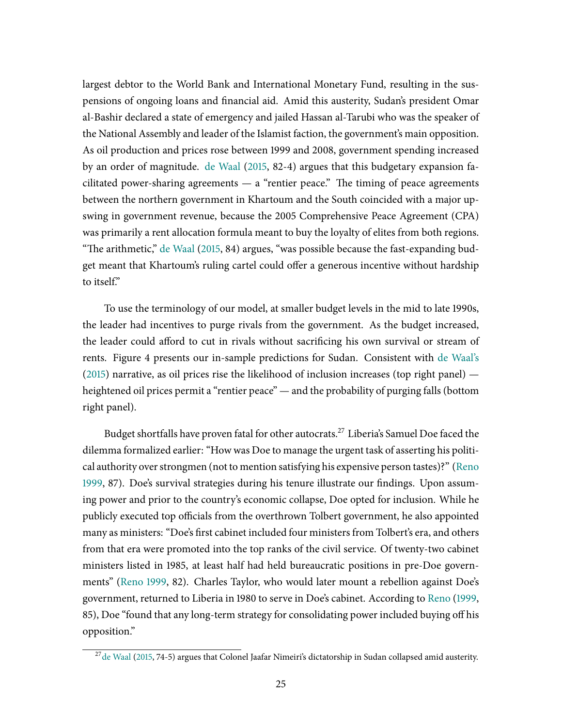largest debtor to the World Bank and International Monetary Fund, resulting in the suspensions of ongoing loans and financial aid. Amid this austerity, Sudan's president Omar al-Bashir declared a state of emergency and jailed Hassan al-Tarubi who was the speaker of the National Assembly and leader of the Islamist faction, the government's main opposition. As oil production and prices rose between 1999 and 2008, government spending increased by an order of magnitude. de [Waal](#page-30-0) [\(2015,](#page-30-0) 82-4) argues that this budgetary expansion facilitated power-sharing agreements  $-$  a "rentier peace." The timing of peace agreements between the northern government in Khartoum and the South coincided with a major upswing in government revenue, because the 2005 Comprehensive Peace Agreement (CPA) was primarily a rent allocation formula meant to buy the loyalty of elites from both regions. "The arithmetic," de [Waal](#page-30-0) [\(2015,](#page-30-0) 84) argues, "was possible because the fast-expanding budget meant that Khartoum's ruling cartel could offer a generous incentive without hardship to itself."

To use the terminology of our model, at smaller budget levels in the mid to late 1990s, the leader had incentives to purge rivals from the government. As the budget increased, the leader could afford to cut in rivals without sacrificing his own survival or stream of rents. Figure [4](#page-26-0) presents our in-sample predictions for Sudan. Consistent with de [Waal's](#page-30-0)  $(2015)$  narrative, as oil prices rise the likelihood of inclusion increases (top right panel) heightened oil prices permit a "rentier peace" — and the probability of purging falls (bottom right panel).

Budget shortfalls have proven fatal for other autocrats.<sup>27</sup> Liberia's Samuel Doe faced the dilemma formalized earlier: "How was Doe to manage the urgent task of asserting his political authority over strongmen (not to mention satisfying his expensive person tastes)?" [\(Reno](#page-32-12) [1999,](#page-32-12) 87). Doe's survival strategies during his tenure illustrate our findings. Upon assuming power and prior to the country's economic collapse, Doe opted for inclusion. While he publicly executed top officials from the overthrown Tolbert government, he also appointed many as ministers: "Doe's first cabinet included four ministers from Tolbert's era, and others from that era were promoted into the top ranks of the civil service. Of twenty-two cabinet ministers listed in 1985, at least half had held bureaucratic positions in pre-Doe governments" [\(Reno](#page-32-12) [1999,](#page-32-12) 82). Charles Taylor, who would later mount a rebellion against Doe's government, returned to Liberia in 1980 to serve in Doe's cabinet. According to [Reno](#page-32-12) [\(1999,](#page-32-12) 85), Doe "found that any long-term strategy for consolidating power included buying off his opposition."

<sup>&</sup>lt;sup>27</sup>de [Waal](#page-30-0) [\(2015,](#page-30-0) 74-5) argues that Colonel Jaafar Nimeiri's dictatorship in Sudan collapsed amid austerity.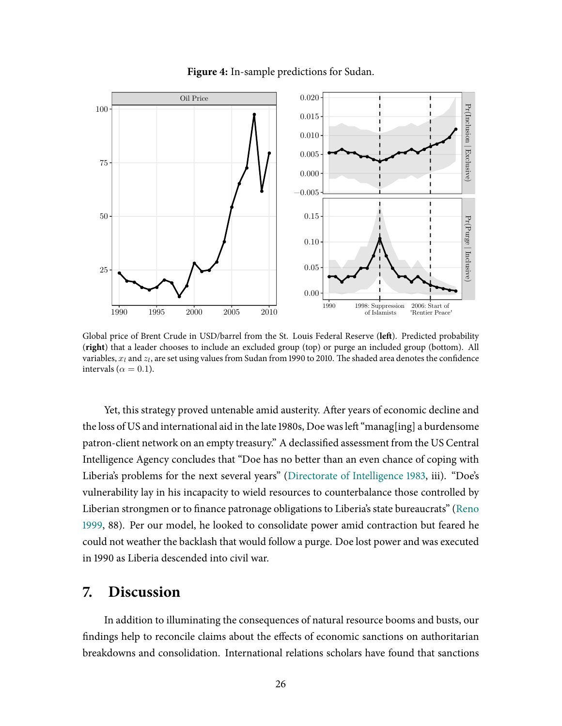

<span id="page-26-0"></span>

Global price of Brent Crude in USD/barrel from the St. Louis Federal Reserve (left). Predicted probability (**right**) that a leader chooses to include an excluded group (top) or purge an included group (bottom). All variables,  $x_l$  and  $z_l$ , are set using values from Sudan from 1990 to 2010. The shaded area denotes the confidence intervals ( $\alpha = 0.1$ ).

Yet, this strategy proved untenable amid austerity. After years of economic decline and the loss of US and international aid in the late 1980s, Doe was left "manag[ing] a burdensome patron-client network on an empty treasury." A declassified assessment from the US Central Intelligence Agency concludes that "Doe has no better than an even chance of coping with Liberia's problems for the next several years" (Directorate of [Intelligence](#page-30-17) [1983,](#page-30-17) iii). "Doe's vulnerability lay in his incapacity to wield resources to counterbalance those controlled by Liberian strongmen or to finance patronage obligations to Liberia's state bureaucrats" [\(Reno](#page-32-12) [1999,](#page-32-12) 88). Per our model, he looked to consolidate power amid contraction but feared he could not weather the backlash that would follow a purge. Doe lost power and was executed in 1990 as Liberia descended into civil war.

# **7. Discussion**

In addition to illuminating the consequences of natural resource booms and busts, our findings help to reconcile claims about the effects of economic sanctions on authoritarian breakdowns and consolidation. International relations scholars have found that sanctions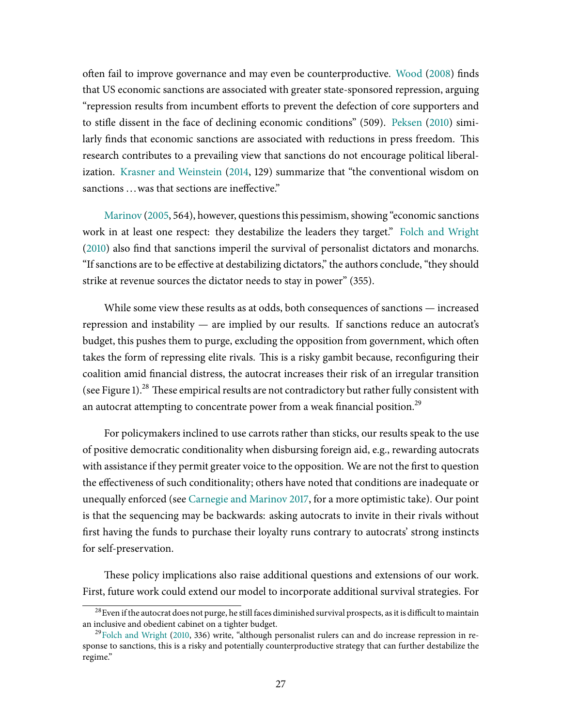often fail to improve governance and may even be counterproductive. [Wood](#page-32-18) [\(2008\)](#page-32-18) finds that US economic sanctions are associated with greater state-sponsored repression, arguing "repression results from incumbent efforts to prevent the defection of core supporters and to stifle dissent in the face of declining economic conditions" (509). [Peksen](#page-31-15) [\(2010\)](#page-31-15) similarly finds that economic sanctions are associated with reductions in press freedom. This research contributes to a prevailing view that sanctions do not encourage political liberalization. Krasner and [Weinstein](#page-31-16) [\(2014,](#page-31-16) 129) summarize that "the conventional wisdom on sanctions ... was that sections are ineffective."

[Marinov](#page-31-17) [\(2005,](#page-31-17) 564), however, questions this pessimism, showing "economic sanctions" work in at least one respect: they destabilize the leaders they target." Folch and [Wright](#page-30-18) [\(2010\)](#page-30-18) also find that sanctions imperil the survival of personalist dictators and monarchs. "If sanctions are to be effective at destabilizing dictators," the authors conclude, "they should strike at revenue sources the dictator needs to stay in power" (355).

While some view these results as at odds, both consequences of sanctions — increased repression and instability — are implied by our results. If sanctions reduce an autocrat's budget, this pushes them to purge, excluding the opposition from government, which often takes the form of repressing elite rivals. This is a risky gambit because, reconfiguring their coalition amid financial distress, the autocrat increases their risk of an irregular transition (see Figure [1\)](#page-17-0).<sup>28</sup> These empirical results are not contradictory but rather fully consistent with an autocrat attempting to concentrate power from a weak financial position.<sup>29</sup>

For policymakers inclined to use carrots rather than sticks, our results speak to the use of positive democratic conditionality when disbursing foreign aid, e.g., rewarding autocrats with assistance if they permit greater voice to the opposition. We are not the first to question the effectiveness of such conditionality; others have noted that conditions are inadequate or unequally enforced (see [Carnegie and](#page-29-17) Marinov [2017,](#page-29-17) for a more optimistic take). Our point is that the sequencing may be backwards: asking autocrats to invite in their rivals without first having the funds to purchase their loyalty runs contrary to autocrats' strong instincts for self-preservation.

These policy implications also raise additional questions and extensions of our work. First, future work could extend our model to incorporate additional survival strategies. For

 $^{28}$  Even if the autocrat does not purge, he still faces diminished survival prospects, as it is difficult to maintain an inclusive and obedient cabinet on a tighter budget.

<sup>29</sup> Folch and [Wright](#page-30-18) [\(2010,](#page-30-18) 336) write, "although personalist rulers can and do increase repression in response to sanctions, this is a risky and potentially counterproductive strategy that can further destabilize the regime."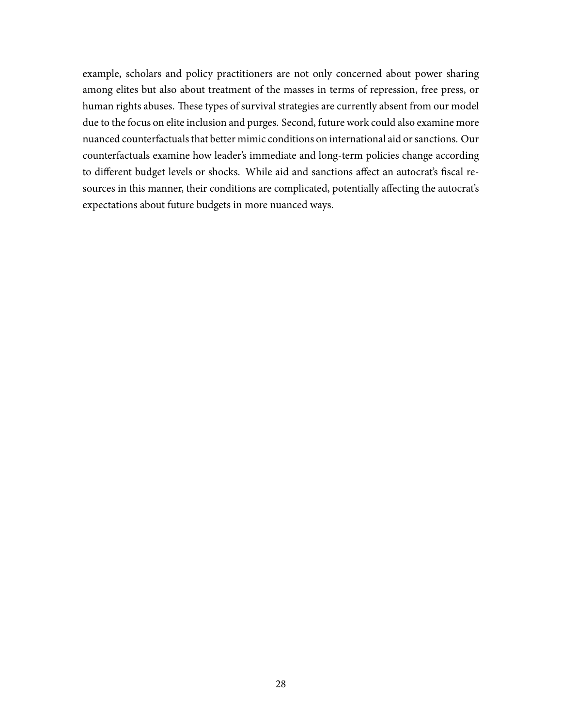example, scholars and policy practitioners are not only concerned about power sharing among elites but also about treatment of the masses in terms of repression, free press, or human rights abuses. These types of survival strategies are currently absent from our model due to the focus on elite inclusion and purges. Second, future work could also examine more nuanced counterfactuals that better mimic conditions on international aid or sanctions. Our counterfactuals examine how leader's immediate and long-term policies change according to different budget levels or shocks. While aid and sanctions affect an autocrat's fiscal resources in this manner, their conditions are complicated, potentially affecting the autocrat's expectations about future budgets in more nuanced ways.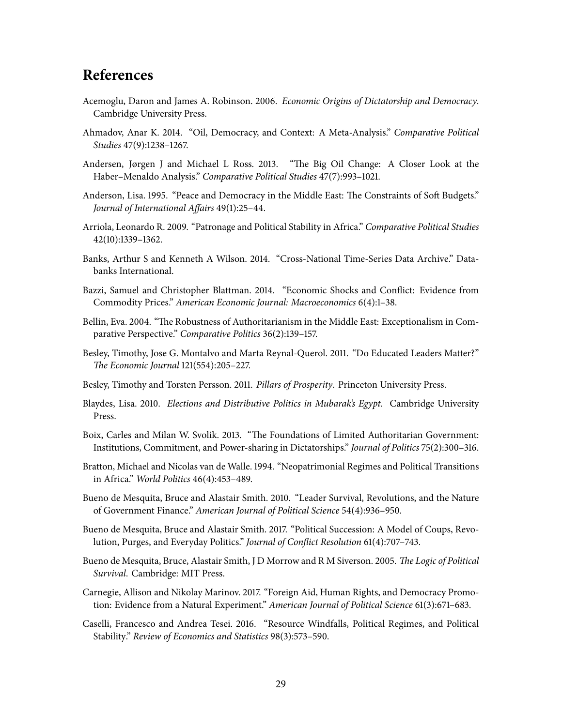# **References**

- <span id="page-29-10"></span>Acemoglu, Daron and James A. Robinson. 2006. Economic Origins of Dictatorship and Democracy. Cambridge University Press.
- <span id="page-29-12"></span>Ahmadov, Anar K. 2014. "Oil, Democracy, and Context: A Meta-Analysis." Comparative Political Studies 47(9):1238–1267.
- <span id="page-29-0"></span>Andersen, Jørgen J and Michael L Ross. 2013. "The Big Oil Change: A Closer Look at the Haber–Menaldo Analysis." Comparative Political Studies 47(7):993–1021.
- <span id="page-29-14"></span>Anderson, Lisa. 1995. "Peace and Democracy in the Middle East: The Constraints of Soft Budgets." Journal of International Affairs 49(1):25–44.
- <span id="page-29-1"></span>Arriola, Leonardo R. 2009. "Patronage and Political Stability in Africa." Comparative Political Studies 42(10):1339–1362.
- <span id="page-29-15"></span>Banks, Arthur S and Kenneth A Wilson. 2014. "Cross-National Time-Series Data Archive." Databanks International.
- <span id="page-29-2"></span>Bazzi, Samuel and Christopher Blattman. 2014. "Economic Shocks and Conflict: Evidence from Commodity Prices." American Economic Journal: Macroeconomics 6(4):1–38.
- <span id="page-29-11"></span>Bellin, Eva. 2004. "The Robustness of Authoritarianism in the Middle East: Exceptionalism in Comparative Perspective." Comparative Politics 36(2):139–157.
- <span id="page-29-16"></span>Besley, Timothy, Jose G. Montalvo and Marta Reynal-Querol. 2011. "Do Educated Leaders Matter?" \_e Economic Journal 121(554):205–227.
- <span id="page-29-13"></span>Besley, Timothy and Torsten Persson. 2011. Pillars of Prosperity. Princeton University Press.
- <span id="page-29-9"></span>Blaydes, Lisa. 2010. Elections and Distributive Politics in Mubarak's Egypt. Cambridge University Press.
- <span id="page-29-8"></span>Boix, Carles and Milan W. Svolik. 2013. "The Foundations of Limited Authoritarian Government: Institutions, Commitment, and Power-sharing in Dictatorships." Journal of Politics 75(2):300–316.
- <span id="page-29-5"></span>Bratton, Michael and Nicolas van de Walle. 1994. "Neopatrimonial Regimes and Political Transitions in Africa." World Politics 46(4):453–489.
- <span id="page-29-6"></span>Bueno de Mesquita, Bruce and Alastair Smith. 2010. "Leader Survival, Revolutions, and the Nature of Government Finance." American Journal of Political Science 54(4):936–950.
- <span id="page-29-4"></span>Bueno de Mesquita, Bruce and Alastair Smith. 2017. "Political Succession: A Model of Coups, Revolution, Purges, and Everyday Politics." Journal of Conflict Resolution 61(4):707–743.
- <span id="page-29-7"></span>Bueno de Mesquita, Bruce, Alastair Smith, J D Morrow and R M Siverson. 2005. The Logic of Political Survival. Cambridge: MIT Press.
- <span id="page-29-17"></span>Carnegie, Allison and Nikolay Marinov. 2017. "Foreign Aid, Human Rights, and Democracy Promotion: Evidence from a Natural Experiment." American Journal of Political Science 61(3):671-683.
- <span id="page-29-3"></span>Caselli, Francesco and Andrea Tesei. 2016. "Resource Windfalls, Political Regimes, and Political Stability." Review of Economics and Statistics 98(3):573–590.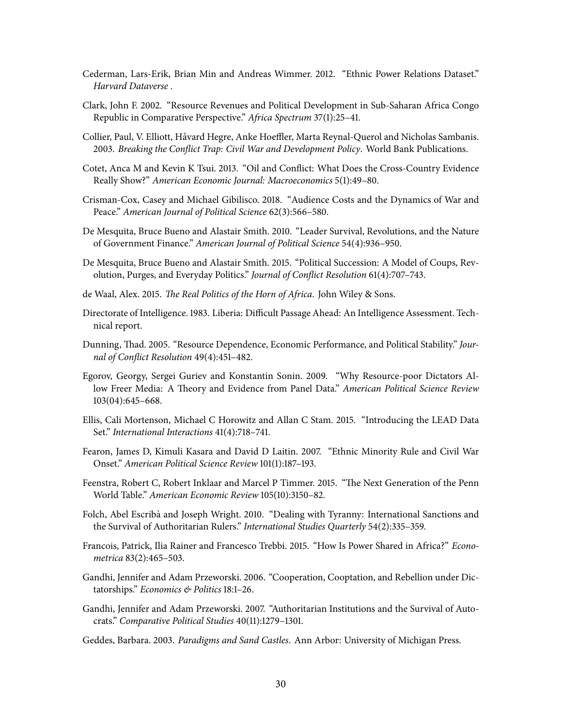- <span id="page-30-14"></span>Cederman, Lars-Erik, Brian Min and Andreas Wimmer. 2012. "Ethnic Power Relations Dataset." Harvard Dataverse .
- <span id="page-30-11"></span>Clark, John F. 2002. "Resource Revenues and Political Development in Sub-Saharan Africa Congo Republic in Comparative Perspective." Africa Spectrum 37(1):25-41.
- <span id="page-30-16"></span>Collier, Paul, V. Elliott, Håvard Hegre, Anke Hoeffler, Marta Reynal-Querol and Nicholas Sambanis. 2003. Breaking the Conflict Trap: Civil War and Development Policy. World Bank Publications.
- <span id="page-30-10"></span>Cotet, Anca M and Kevin K Tsui. 2013. "Oil and Conflict: What Does the Cross-Country Evidence Really Show?" American Economic Journal: Macroeconomics 5(1):49–80.
- <span id="page-30-12"></span>Crisman-Cox, Casey and Michael Gibilisco. 2018. "Audience Costs and the Dynamics of War and Peace." American Journal of Political Science 62(3):566–580.
- <span id="page-30-8"></span>De Mesquita, Bruce Bueno and Alastair Smith. 2010. "Leader Survival, Revolutions, and the Nature of Government Finance." American Journal of Political Science 54(4):936–950.
- <span id="page-30-4"></span>De Mesquita, Bruce Bueno and Alastair Smith. 2015. "Political Succession: A Model of Coups, Revolution, Purges, and Everyday Politics." Journal of Conflict Resolution 61(4):707-743.
- <span id="page-30-0"></span>de Waal, Alex. 2015. The Real Politics of the Horn of Africa. John Wiley & Sons.
- <span id="page-30-17"></span>Directorate of Intelligence. 1983. Liberia: Difficult Passage Ahead: An Intelligence Assessment. Technical report.
- <span id="page-30-1"></span>Dunning, Thad. 2005. "Resource Dependence, Economic Performance, and Political Stability." Journal of Conflict Resolution 49(4):451-482.
- <span id="page-30-9"></span>Egorov, Georgy, Sergei Guriev and Konstantin Sonin. 2009. "Why Resource-poor Dictators Allow Freer Media: A Theory and Evidence from Panel Data." American Political Science Review 103(04):645–668.
- <span id="page-30-15"></span>Ellis, Cali Mortenson, Michael C Horowitz and Allan C Stam. 2015. "Introducing the LEAD Data Set." International Interactions 41(4):718–741.
- <span id="page-30-2"></span>Fearon, James D, Kimuli Kasara and David D Laitin. 2007. "Ethnic Minority Rule and Civil War Onset." American Political Science Review 101(1):187–193.
- <span id="page-30-13"></span>Feenstra, Robert C, Robert Inklaar and Marcel P Timmer. 2015. "The Next Generation of the Penn World Table." American Economic Review 105(10):3150–82.
- <span id="page-30-18"></span>Folch, Abel Escribà and Joseph Wright. 2010. "Dealing with Tyranny: International Sanctions and the Survival of Authoritarian Rulers." International Studies Quarterly 54(2):335-359.
- <span id="page-30-3"></span>Francois, Patrick, Ilia Rainer and Francesco Trebbi. 2015. "How Is Power Shared in Africa?" Econometrica 83(2):465–503.
- <span id="page-30-5"></span>Gandhi, Jennifer and Adam Przeworski. 2006. "Cooperation, Cooptation, and Rebellion under Dictatorships." Economics & Politics 18:1-26.
- <span id="page-30-6"></span>Gandhi, Jennifer and Adam Przeworski. 2007. "Authoritarian Institutions and the Survival of Autocrats." Comparative Political Studies 40(11):1279–1301.
- <span id="page-30-7"></span>Geddes, Barbara. 2003. Paradigms and Sand Castles. Ann Arbor: University of Michigan Press.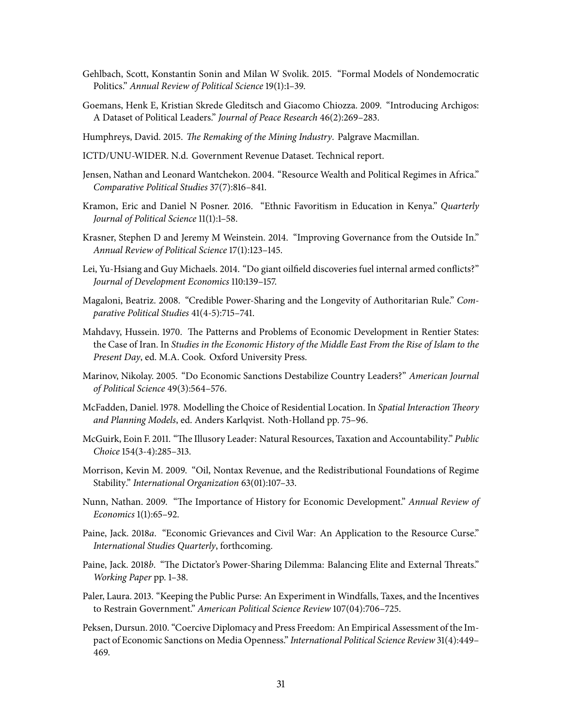- <span id="page-31-4"></span>Gehlbach, Scott, Konstantin Sonin and Milan W Svolik. 2015. "Formal Models of Nondemocratic Politics." Annual Review of Political Science 19(1):1–39.
- <span id="page-31-12"></span>Goemans, Henk E, Kristian Skrede Gleditsch and Giacomo Chiozza. 2009. "Introducing Archigos: A Dataset of Political Leaders." Journal of Peace Research 46(2):269–283.
- <span id="page-31-14"></span>Humphreys, David. 2015. The Remaking of the Mining Industry. Palgrave Macmillan.
- <span id="page-31-11"></span>ICTD/UNU-WIDER. N.d. Government Revenue Dataset. Technical report.
- <span id="page-31-7"></span>Jensen, Nathan and Leonard Wantchekon. 2004. "Resource Wealth and Political Regimes in Africa." Comparative Political Studies 37(7):816–841.
- <span id="page-31-6"></span>Kramon, Eric and Daniel N Posner. 2016. "Ethnic Favoritism in Education in Kenya." Quarterly Journal of Political Science 11(1):1–58.
- <span id="page-31-16"></span>Krasner, Stephen D and Jeremy M Weinstein. 2014. "Improving Governance from the Outside In." Annual Review of Political Science 17(1):123–145.
- <span id="page-31-13"></span>Lei, Yu-Hsiang and Guy Michaels. 2014. "Do giant oilfield discoveries fuel internal armed conflicts?" Journal of Development Economics 110:139–157.
- <span id="page-31-5"></span>Magaloni, Beatriz. 2008. "Credible Power-Sharing and the Longevity of Authoritarian Rule." Comparative Political Studies 41(4-5):715–741.
- <span id="page-31-8"></span>Mahdavy, Hussein. 1970. The Patterns and Problems of Economic Development in Rentier States: the Case of Iran. In Studies in the Economic History of the Middle East From the Rise of Islam to the Present Day, ed. M.A. Cook. Oxford University Press.
- <span id="page-31-17"></span>Marinov, Nikolay. 2005. "Do Economic Sanctions Destabilize Country Leaders?" American Journal of Political Science 49(3):564–576.
- <span id="page-31-18"></span>McFadden, Daniel. 1978. Modelling the Choice of Residential Location. In Spatial Interaction Theory and Planning Models, ed. Anders Karlqvist. Noth-Holland pp. 75–96.
- <span id="page-31-9"></span>McGuirk, Eoin F. 2011. "The Illusory Leader: Natural Resources, Taxation and Accountability." Public Choice 154(3-4):285–313.
- <span id="page-31-0"></span>Morrison, Kevin M. 2009. "Oil, Nontax Revenue, and the Redistributional Foundations of Regime Stability." International Organization 63(01):107–33.
- <span id="page-31-3"></span>Nunn, Nathan. 2009. "The Importance of History for Economic Development." Annual Review of Economics 1(1):65–92.
- <span id="page-31-2"></span>Paine, Jack. 2018a. "Economic Grievances and Civil War: An Application to the Resource Curse." International Studies Quarterly, forthcoming.
- <span id="page-31-1"></span>Paine, Jack. 2018b. "The Dictator's Power-Sharing Dilemma: Balancing Elite and External Threats." Working Paper pp. 1–38.
- <span id="page-31-10"></span>Paler, Laura. 2013. "Keeping the Public Purse: An Experiment in Windfalls, Taxes, and the Incentives to Restrain Government." American Political Science Review 107(04):706–725.
- <span id="page-31-15"></span>Peksen, Dursun. 2010. "Coercive Diplomacy and Press Freedom: An Empirical Assessment of the Impact of Economic Sanctions on Media Openness." International Political Science Review 31(4):449– 469.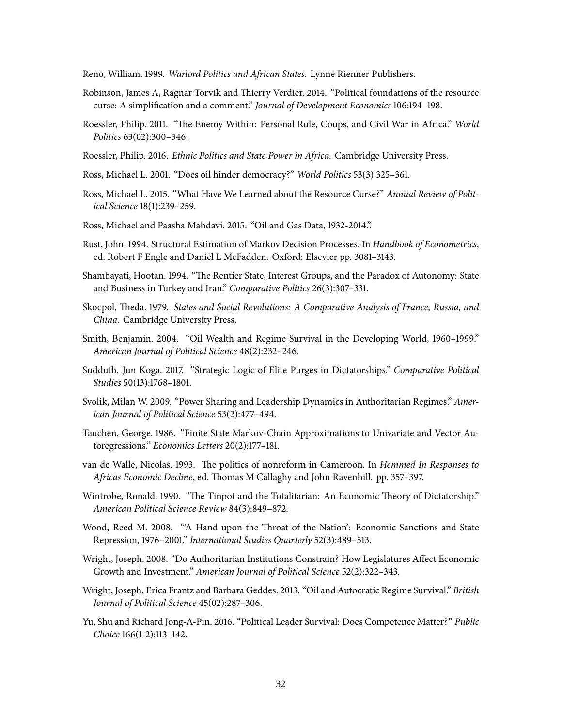<span id="page-32-12"></span>Reno, William. 1999. Warlord Politics and African States. Lynne Rienner Publishers.

- <span id="page-32-5"></span>Robinson, James A, Ragnar Torvik and Thierry Verdier. 2014. "Political foundations of the resource curse: A simplification and a comment." Journal of Development Economics 106:194-198.
- <span id="page-32-6"></span>Roessler, Philip. 2011. "The Enemy Within: Personal Rule, Coups, and Civil War in Africa." World Politics 63(02):300–346.
- <span id="page-32-3"></span>Roessler, Philip. 2016. Ethnic Politics and State Power in Africa. Cambridge University Press.
- <span id="page-32-15"></span>Ross, Michael L. 2001. "Does oil hinder democracy?" World Politics 53(3):325–361.
- <span id="page-32-4"></span>Ross, Michael L. 2015. "What Have We Learned about the Resource Curse?" Annual Review of Political Science 18(1):239–259.
- <span id="page-32-17"></span>Ross, Michael and Paasha Mahdavi. 2015. "Oil and Gas Data, 1932-2014.".
- <span id="page-32-2"></span>Rust, John. 1994. Structural Estimation of Markov Decision Processes. In Handbook of Econometrics, ed. Robert F Engle and Daniel L McFadden. Oxford: Elsevier pp. 3081–3143.
- <span id="page-32-14"></span>Shambayati, Hootan. 1994. "The Rentier State, Interest Groups, and the Paradox of Autonomy: State and Business in Turkey and Iran." Comparative Politics 26(3):307-331.
- <span id="page-32-10"></span>Skocpol, Theda. 1979. States and Social Revolutions: A Comparative Analysis of France, Russia, and China. Cambridge University Press.
- <span id="page-32-0"></span>Smith, Benjamin. 2004. "Oil Wealth and Regime Survival in the Developing World, 1960–1999." American Journal of Political Science 48(2):232–246.
- <span id="page-32-11"></span>Sudduth, Jun Koga. 2017. "Strategic Logic of Elite Purges in Dictatorships." Comparative Political Studies 50(13):1768–1801.
- <span id="page-32-8"></span>Svolik, Milan W. 2009. "Power Sharing and Leadership Dynamics in Authoritarian Regimes." American Journal of Political Science 53(2):477–494.
- <span id="page-32-19"></span>Tauchen, George. 1986. "Finite State Markov-Chain Approximations to Univariate and Vector Autoregressions." Economics Letters 20(2):177–181.
- <span id="page-32-13"></span>van de Walle, Nicolas. 1993. The politics of nonreform in Cameroon. In Hemmed In Responses to Africas Economic Decline, ed. Thomas M Callaghy and John Ravenhill. pp. 357–397.
- <span id="page-32-9"></span>Wintrobe, Ronald. 1990. "The Tinpot and the Totalitarian: An Economic Theory of Dictatorship." American Political Science Review 84(3):849–872.
- <span id="page-32-18"></span>Wood, Reed M. 2008. "A Hand upon the Throat of the Nation': Economic Sanctions and State Repression, 1976–2001." International Studies Quarterly 52(3):489–513.
- <span id="page-32-7"></span>Wright, Joseph. 2008. "Do Authoritarian Institutions Constrain? How Legislatures Affect Economic Growth and Investment." American Journal of Political Science 52(2):322–343.
- <span id="page-32-1"></span>Wright, Joseph, Erica Frantz and Barbara Geddes. 2013. "Oil and Autocratic Regime Survival." British Journal of Political Science 45(02):287–306.
- <span id="page-32-16"></span>Yu, Shu and Richard Jong-A-Pin. 2016. "Political Leader Survival: Does Competence Matter?" Public Choice 166(1-2):113–142.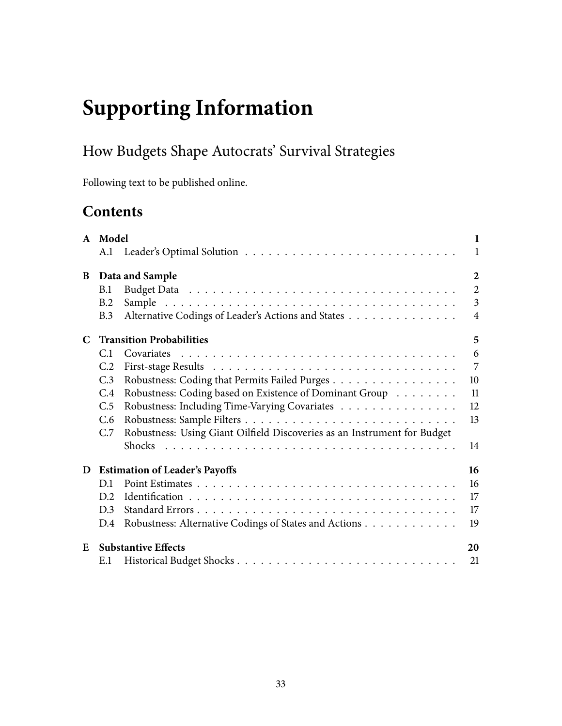# **Supporting Information**

# How Budgets Shape Autocrats' Survival Strategies

Following text to be published online.

# **Contents**

|   | A Model        |                                                                          | $\mathbf{1}$   |
|---|----------------|--------------------------------------------------------------------------|----------------|
|   | A.1            |                                                                          | $\mathbf{1}$   |
| B |                | Data and Sample                                                          | $\overline{2}$ |
|   | B.1            |                                                                          | $\overline{2}$ |
|   | B.2            |                                                                          | $\overline{3}$ |
|   | B.3            | Alternative Codings of Leader's Actions and States                       | $\overline{4}$ |
| C |                | <b>Transition Probabilities</b>                                          | 5              |
|   | C <sub>1</sub> | Covariates                                                               | 6              |
|   | C.2            |                                                                          | $\overline{7}$ |
|   | C.3            | Robustness: Coding that Permits Failed Purges                            | 10             |
|   | C.4            | Robustness: Coding based on Existence of Dominant Group                  | 11             |
|   | C.5            | Robustness: Including Time-Varying Covariates                            | 12             |
|   | C.6            |                                                                          | 13             |
|   | C.7            | Robustness: Using Giant Oilfield Discoveries as an Instrument for Budget |                |
|   |                |                                                                          | 14             |
| D |                | <b>Estimation of Leader's Payoffs</b>                                    | 16             |
|   | D.1            |                                                                          | 16             |
|   | D.2            |                                                                          | 17             |
|   | D.3            |                                                                          | 17             |
|   | D.4            | Robustness: Alternative Codings of States and Actions                    | 19             |
| E |                | <b>Substantive Effects</b>                                               | 20             |
|   | E.1            |                                                                          | 21             |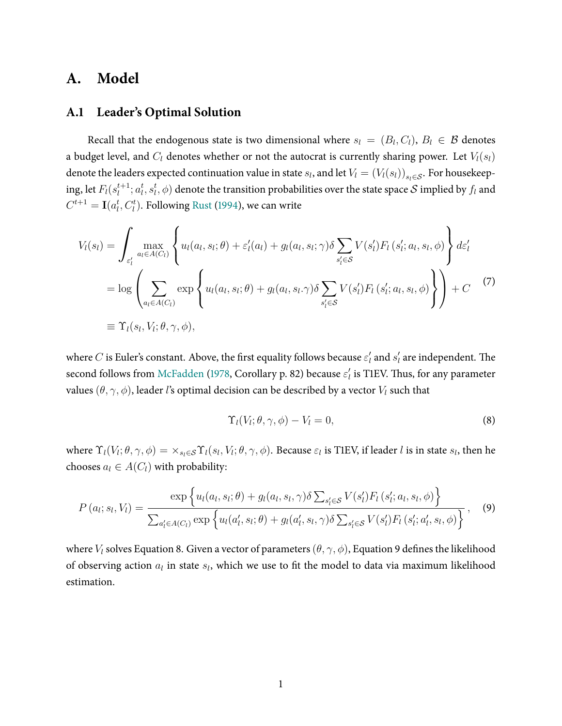# <span id="page-34-3"></span>**A. Model**

## <span id="page-34-0"></span>**A.1 Leader's Optimal Solution**

Recall that the endogenous state is two dimensional where  $s_l = (B_l, C_l)$ ,  $B_l \in \mathcal{B}$  denotes a budget level, and  $C_l$  denotes whether or not the autocrat is currently sharing power. Let  $V_l(s_l)$ denote the leaders expected continuation value in state  $s_l$ , and let  $V_l = (V_l(s_l))_{s_l \in \mathcal{S}}$ . For housekeeping, let  $F_l(s_l^{t+1})$  $l_t^{t+1}; a_l^t, s_l^t, \phi)$  denote the transition probabilities over the state space  ${\cal S}$  implied by  $f_l$  and  $C^{t+1} = \mathbf{I}(a_l^t, C_l^t)$ . Following [Rust](#page-32-2) [\(1994\)](#page-32-2), we can write

$$
V_{l}(s_{l}) = \int_{\varepsilon'_{l}} \max_{a_{l} \in A(C_{l})} \left\{ u_{l}(a_{l}, s_{l}; \theta) + \varepsilon'_{l}(a_{l}) + g_{l}(a_{l}, s_{l}; \gamma) \delta \sum_{s'_{l} \in S} V(s'_{l}) F_{l}(s'_{l}; a_{l}, s_{l}, \phi) \right\} d\varepsilon'_{l}
$$
  
= 
$$
\log \left( \sum_{a_{l} \in A(C_{l})} \exp \left\{ u_{l}(a_{l}, s_{l}; \theta) + g_{l}(a_{l}, s_{l}, \gamma) \delta \sum_{s'_{l} \in S} V(s'_{l}) F_{l}(s'_{l}; a_{l}, s_{l}, \phi) \right\} \right\} + C \qquad (7)
$$
  

$$
\equiv \Upsilon_{l}(s_{l}, V_{l}; \theta, \gamma, \phi),
$$

where  $C$  is Euler's constant. Above, the first equality follows because  $\varepsilon'_l$  and  $s'_l$  are independent. The second follows from [McFadden](#page-31-18) [\(1978,](#page-31-18) Corollary p. 82) because  $\varepsilon_l'$  is T1EV. Thus, for any parameter values  $(\theta, \gamma, \phi)$ , leader l's optimal decision can be described by a vector  $V_l$  such that

<span id="page-34-2"></span><span id="page-34-1"></span>
$$
\Upsilon_l(V_l;\theta,\gamma,\phi) - V_l = 0,\t\t(8)
$$

where  $\Upsilon_l(V_l;\theta,\gamma,\phi)=\times_{s_l\in\mathcal{S}} \Upsilon_l(s_l,V_l;\theta,\gamma,\phi)$ . Because  $\varepsilon_l$  is T1EV, if leader  $l$  is in state  $s_l$ , then he chooses  $a_l \in A(C_l)$  with probability:

$$
P(a_{l}; s_{l}, V_{l}) = \frac{\exp \left\{ u_{l}(a_{l}, s_{l}; \theta) + g_{l}(a_{l}, s_{l}, \gamma) \delta \sum_{s_{l}' \in \mathcal{S}} V(s_{l}') F_{l}(s_{l}'; a_{l}, s_{l}, \phi) \right\}}{\sum_{a_{l}' \in A(C_{l})} \exp \left\{ u_{l}(a_{l}', s_{l}; \theta) + g_{l}(a_{l}', s_{l}, \gamma) \delta \sum_{s_{l}' \in \mathcal{S}} V(s_{l}') F_{l}(s_{l}'; a_{l}', s_{l}, \phi) \right\}},
$$
(9)

where  $V_l$  solves Equation [8.](#page-34-2) Given a vector of parameters ( $\theta$ ,  $\gamma$ ,  $\phi$ ), Equation [9](#page-34-1) defines the likelihood of observing action  $a_l$  in state  $s_l$ , which we use to fit the model to data via maximum likelihood estimation.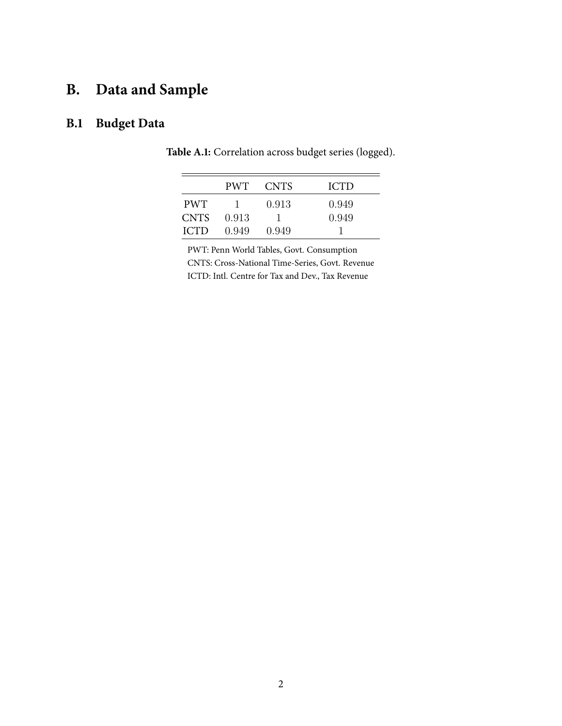# <span id="page-35-1"></span>**B. Data and Sample**

# <span id="page-35-2"></span><span id="page-35-0"></span>**B.1 Budget Data**

|             | PWT.  | <b>CNTS</b> | <b>ICTD</b> |
|-------------|-------|-------------|-------------|
| <b>PWT</b>  | - 1 - | 0.913       | 0.949       |
| <b>CNTS</b> | 0.913 |             | 0.949       |
| <b>ICTD</b> | 0.949 | 0.949       |             |

**Table A.1:** Correlation across budget series (logged).

PWT: Penn World Tables, Govt. Consumption CNTS: Cross-National Time-Series, Govt. Revenue ICTD: Intl. Centre for Tax and Dev., Tax Revenue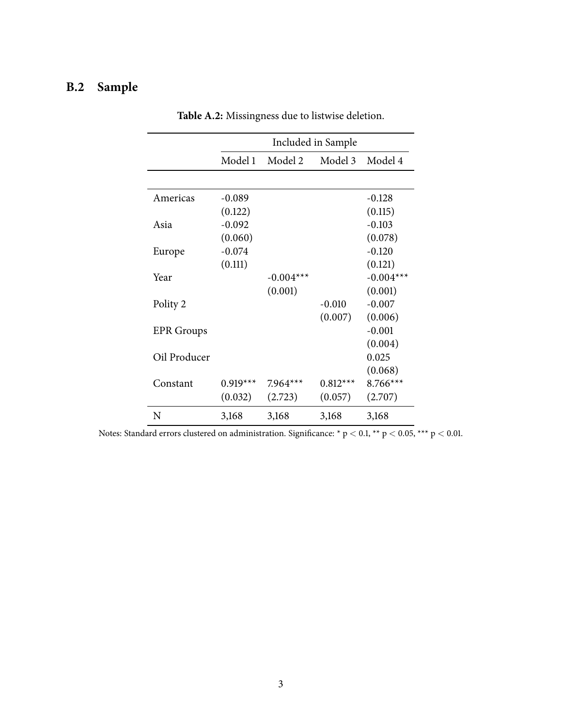# <span id="page-36-1"></span><span id="page-36-0"></span>**B.2 Sample**

| Included in Sample<br>Model 1<br>Model 2<br>Model 3<br>Americas<br>$-0.089$<br>$-0.128$<br>(0.115)<br>(0.122)<br>$-0.103$<br>$-0.092$<br>Asia<br>(0.060)<br>$-0.074$<br>$-0.120$<br>Europe<br>(0.111)<br>(0.121)<br>Year<br>$-0.004***$<br>(0.001)<br>$-0.007$<br>Polity 2<br>$-0.010$<br>(0.007)<br>$-0.001$<br><b>EPR</b> Groups<br>Oil Producer<br>0.025<br>Constant<br>$0.919***$<br>$0.812***$<br>$7.964***$<br>(0.032)<br>(2.723)<br>(0.057) |   |       |       |       |             |  |  |  |
|----------------------------------------------------------------------------------------------------------------------------------------------------------------------------------------------------------------------------------------------------------------------------------------------------------------------------------------------------------------------------------------------------------------------------------------------------|---|-------|-------|-------|-------------|--|--|--|
|                                                                                                                                                                                                                                                                                                                                                                                                                                                    |   |       |       |       |             |  |  |  |
|                                                                                                                                                                                                                                                                                                                                                                                                                                                    |   |       |       |       | Model 4     |  |  |  |
|                                                                                                                                                                                                                                                                                                                                                                                                                                                    |   |       |       |       |             |  |  |  |
|                                                                                                                                                                                                                                                                                                                                                                                                                                                    |   |       |       |       |             |  |  |  |
|                                                                                                                                                                                                                                                                                                                                                                                                                                                    |   |       |       |       |             |  |  |  |
|                                                                                                                                                                                                                                                                                                                                                                                                                                                    |   |       |       |       |             |  |  |  |
|                                                                                                                                                                                                                                                                                                                                                                                                                                                    |   |       |       |       | (0.078)     |  |  |  |
|                                                                                                                                                                                                                                                                                                                                                                                                                                                    |   |       |       |       |             |  |  |  |
|                                                                                                                                                                                                                                                                                                                                                                                                                                                    |   |       |       |       |             |  |  |  |
|                                                                                                                                                                                                                                                                                                                                                                                                                                                    |   |       |       |       | $-0.004***$ |  |  |  |
|                                                                                                                                                                                                                                                                                                                                                                                                                                                    |   |       |       |       | (0.001)     |  |  |  |
|                                                                                                                                                                                                                                                                                                                                                                                                                                                    |   |       |       |       |             |  |  |  |
|                                                                                                                                                                                                                                                                                                                                                                                                                                                    |   |       |       |       | (0.006)     |  |  |  |
|                                                                                                                                                                                                                                                                                                                                                                                                                                                    |   |       |       |       |             |  |  |  |
|                                                                                                                                                                                                                                                                                                                                                                                                                                                    |   |       |       |       | (0.004)     |  |  |  |
|                                                                                                                                                                                                                                                                                                                                                                                                                                                    |   |       |       |       |             |  |  |  |
|                                                                                                                                                                                                                                                                                                                                                                                                                                                    |   |       |       |       | (0.068)     |  |  |  |
|                                                                                                                                                                                                                                                                                                                                                                                                                                                    |   |       |       |       | $8.766***$  |  |  |  |
|                                                                                                                                                                                                                                                                                                                                                                                                                                                    |   |       |       |       | (2.707)     |  |  |  |
|                                                                                                                                                                                                                                                                                                                                                                                                                                                    | N | 3,168 | 3,168 | 3,168 | 3,168       |  |  |  |

**Table A.2:** Missingness due to listwise deletion.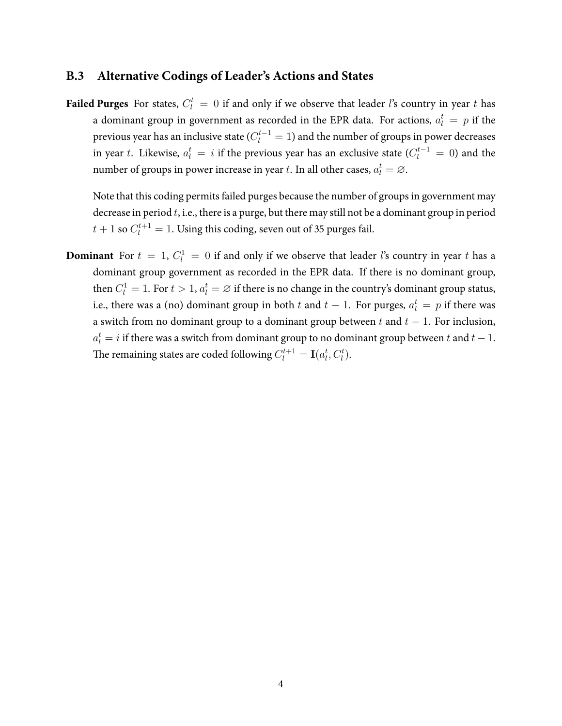## <span id="page-37-0"></span>**B.3 Alternative Codings of Leader's Actions and States**

**Failed Purges** For states,  $C_l^t = 0$  if and only if we observe that leader *l*'s country in year t has a dominant group in government as recorded in the EPR data. For actions,  $a_l^t \, = \, p$  if the previous year has an inclusive state ( $C_l^{t-1}=1$ ) and the number of groups in power decreases in year  $t.$  Likewise,  $a_l^t = i$  if the previous year has an exclusive state ( $C_l^{t-1} = 0$ ) and the number of groups in power increase in year  $t.$  In all other cases,  $a_l^t = \varnothing.$ 

Note that this coding permits failed purges because the number of groups in government may decrease in period  $t$ , i.e., there is a purge, but there may still not be a dominant group in period  $t+1$  so  $C_l^{t+1}=1.$  Using this coding, seven out of 35 purges fail.

**Dominant** For  $t = 1$ ,  $C_l^1 = 0$  if and only if we observe that leader *l*'s country in year *t* has a dominant group government as recorded in the EPR data. If there is no dominant group, then  $C^1_l = 1.$  For  $t > 1, a^t_l = \varnothing$  if there is no change in the country's dominant group status, i.e., there was a (no) dominant group in both  $t$  and  $t-1$ . For purges,  $a_l^t = p$  if there was a switch from no dominant group to a dominant group between t and  $t - 1$ . For inclusion,  $a_l^t = i$  if there was a switch from dominant group to no dominant group between  $t$  and  $t-1$ . The remaining states are coded following  $C^{t+1}_l = \mathbf{I}(a^t_l, C^t_l).$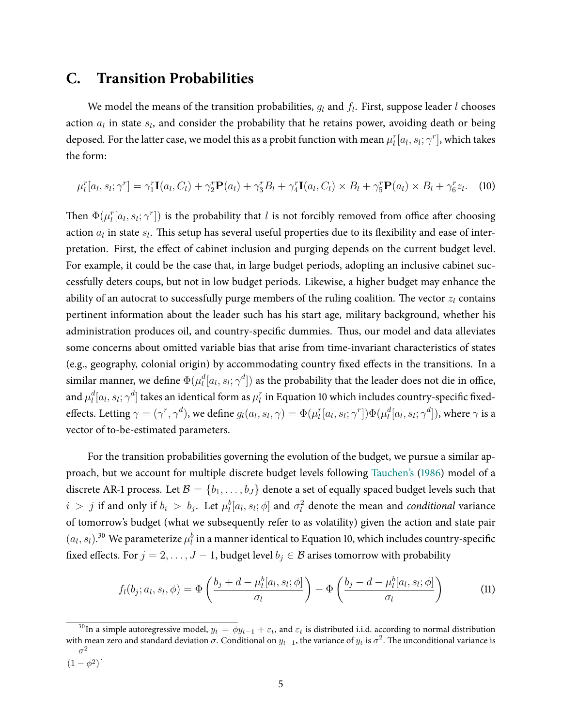# <span id="page-38-0"></span>**C. Transition Probabilities**

We model the means of the transition probabilities,  $g_l$  and  $f_l$ . First, suppose leader l chooses action  $a_l$  in state  $s_l$ , and consider the probability that he retains power, avoiding death or being deposed. For the latter case, we model this as a probit function with mean  $\mu_l^r[a_l,s_l;\gamma^r]$ , which takes the form:

<span id="page-38-1"></span>
$$
\mu_l^r[a_l, s_l; \gamma^r] = \gamma_1^r \mathbf{I}(a_l, C_l) + \gamma_2^r \mathbf{P}(a_l) + \gamma_3^r B_l + \gamma_4^r \mathbf{I}(a_l, C_l) \times B_l + \gamma_5^r \mathbf{P}(a_l) \times B_l + \gamma_6^r z_l.
$$
 (10)

Then  $\Phi(\mu_l^r[a_l,s_l;\gamma^r])$  is the probability that l is not forcibly removed from office after choosing action  $a_l$  in state  $s_l$ . This setup has several useful properties due to its flexibility and ease of interpretation. First, the effect of cabinet inclusion and purging depends on the current budget level. For example, it could be the case that, in large budget periods, adopting an inclusive cabinet successfully deters coups, but not in low budget periods. Likewise, a higher budget may enhance the ability of an autocrat to successfully purge members of the ruling coalition. The vector  $z_l$  contains pertinent information about the leader such has his start age, military background, whether his administration produces oil, and country-specific dummies. Thus, our model and data alleviates some concerns about omitted variable bias that arise from time-invariant characteristics of states (e.g., geography, colonial origin) by accommodating country fixed effects in the transitions. In a similar manner, we define  $\Phi(\mu_l^d[a_l,s_l;\gamma^d])$  as the probability that the leader does not die in office, and  $\mu_l^d[a_l,s_l;\gamma^d]$  takes an identical form as  $\mu_l^r$  in Equation [10](#page-38-1) which includes country-specific fixedeffects. Letting  $\gamma=(\gamma^r,\gamma^d)$ , we define  $g_l(a_l,s_l,\gamma)=\Phi(\mu_l^r[a_l,s_l;\gamma^r])\Phi(\mu_l^d[a_l,s_l;\gamma^d]),$  where  $\gamma$  is a vector of to-be-estimated parameters.

For the transition probabilities governing the evolution of the budget, we pursue a similar approach, but we account for multiple discrete budget levels following [Tauchen's](#page-32-19) [\(1986\)](#page-32-19) model of a discrete AR-1 process. Let  $\mathcal{B} = \{b_1, \ldots, b_J\}$  denote a set of equally spaced budget levels such that  $i > j$  if and only if  $b_i > b_j$ . Let  $\mu_l^b[a_l, s_l; \phi]$  and  $\sigma_l^2$  denote the mean and conditional variance of tomorrow's budget (what we subsequently refer to as volatility) given the action and state pair  $(a_l, s_l).^{30}$  We parameterize  $\mu_l^b$  in a manner identical to Equation [10,](#page-38-1) which includes country-specific fixed effects. For  $j = 2, \ldots, J - 1$ , budget level  $b_j \in \mathcal{B}$  arises tomorrow with probability

<span id="page-38-2"></span>
$$
f_l(b_j; a_l, s_l, \phi) = \Phi\left(\frac{b_j + d - \mu_l^b[a_l, s_l; \phi]}{\sigma_l}\right) - \Phi\left(\frac{b_j - d - \mu_l^b[a_l, s_l; \phi]}{\sigma_l}\right)
$$
(11)

<sup>&</sup>lt;sup>30</sup>In a simple autoregressive model,  $y_t = \phi y_{t-1} + \varepsilon_t$ , and  $\varepsilon_t$  is distributed i.i.d. according to normal distribution with mean zero and standard deviation  $\sigma$ . Conditional on  $y_{t-1}$ , the variance of  $y_t$  is  $\sigma^2$ . The unconditional variance is  $\sigma^2$  $(1 - \phi^2)$ .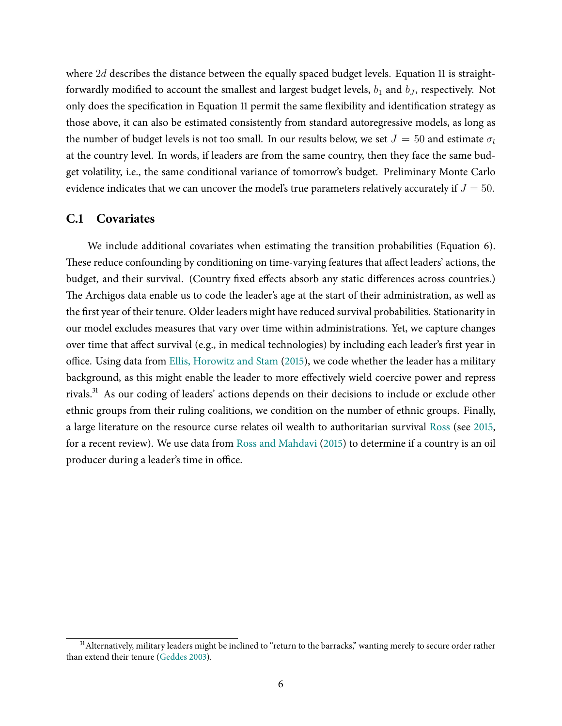where 2d describes the distance between the equally spaced budget levels. Equation [11](#page-38-2) is straightforwardly modified to account the smallest and largest budget levels,  $b_1$  and  $b_J$ , respectively. Not only does the specification in Equation [11](#page-38-2) permit the same flexibility and identification strategy as those above, it can also be estimated consistently from standard autoregressive models, as long as the number of budget levels is not too small. In our results below, we set  $J = 50$  and estimate  $\sigma_l$ at the country level. In words, if leaders are from the same country, then they face the same budget volatility, i.e., the same conditional variance of tomorrow's budget. Preliminary Monte Carlo evidence indicates that we can uncover the model's true parameters relatively accurately if  $J = 50$ .

### <span id="page-39-0"></span>**C.1 Covariates**

We include additional covariates when estimating the transition probabilities (Equation [6\)](#page-16-0). These reduce confounding by conditioning on time-varying features that affect leaders' actions, the budget, and their survival. (Country fixed effects absorb any static differences across countries.) The Archigos data enable us to code the leader's age at the start of their administration, as well as the first year of their tenure. Older leaders might have reduced survival probabilities. Stationarity in our model excludes measures that vary over time within administrations. Yet, we capture changes over time that affect survival (e.g., in medical technologies) by including each leader's first year in office. Using data from Ellis, [Horowitz](#page-30-15) and Stam [\(2015\)](#page-30-15), we code whether the leader has a military background, as this might enable the leader to more effectively wield coercive power and repress rivals. <sup>31</sup> As our coding of leaders' actions depends on their decisions to include or exclude other ethnic groups from their ruling coalitions, we condition on the number of ethnic groups. Finally, a large literature on the resource curse relates oil wealth to authoritarian survival [Ross](#page-32-4) (see [2015,](#page-32-4) for a recent review). We use data from Ross and [Mahdavi](#page-32-17) [\(2015\)](#page-32-17) to determine if a country is an oil producer during a leader's time in office.

<sup>&</sup>lt;sup>31</sup> Alternatively, military leaders might be inclined to "return to the barracks," wanting merely to secure order rather than extend their tenure [\(Geddes](#page-30-7) [2003\)](#page-30-7).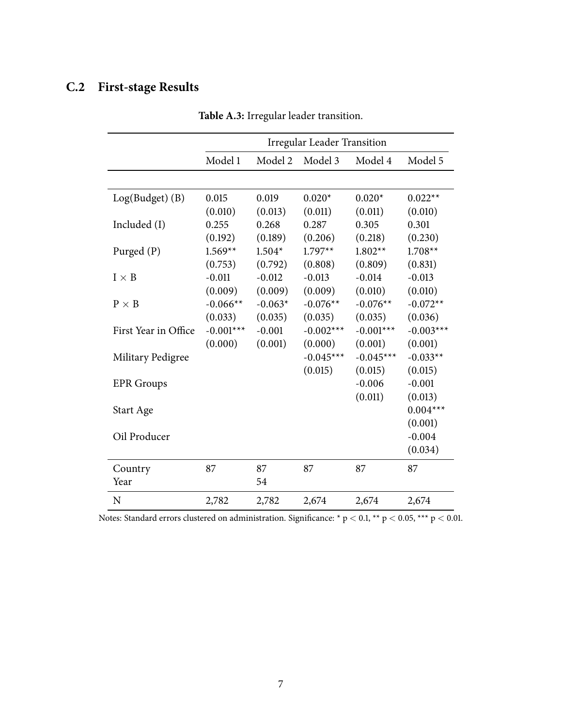# <span id="page-40-1"></span><span id="page-40-0"></span>**C.2 First-stage Results**

|                      | <b>Irregular Leader Transition</b> |           |             |             |             |  |
|----------------------|------------------------------------|-----------|-------------|-------------|-------------|--|
|                      | Model 1                            | Model 2   | Model 3     | Model 4     | Model 5     |  |
|                      |                                    |           |             |             |             |  |
| $Log(Budget)$ (B)    | 0.015                              | 0.019     | $0.020*$    | $0.020*$    | $0.022**$   |  |
|                      | (0.010)                            | (0.013)   | (0.011)     | (0.011)     | (0.010)     |  |
| Included (I)         | 0.255                              | 0.268     | 0.287       | 0.305       | 0.301       |  |
|                      | (0.192)                            | (0.189)   | (0.206)     | (0.218)     | (0.230)     |  |
| Purged (P)           | $1.569**$                          | $1.504*$  | $1.797**$   | $1.802**$   | $1.708**$   |  |
|                      | (0.753)                            | (0.792)   | (0.808)     | (0.809)     | (0.831)     |  |
| $I \times B$         | $-0.011$                           | $-0.012$  | $-0.013$    | $-0.014$    | $-0.013$    |  |
|                      | (0.009)                            | (0.009)   | (0.009)     | (0.010)     | (0.010)     |  |
| $P \times B$         | $-0.066**$                         | $-0.063*$ | $-0.076**$  | $-0.076**$  | $-0.072**$  |  |
|                      | (0.033)                            | (0.035)   | (0.035)     | (0.035)     | (0.036)     |  |
| First Year in Office | $-0.001***$                        | $-0.001$  | $-0.002***$ | $-0.001***$ | $-0.003***$ |  |
|                      | (0.000)                            | (0.001)   | (0.000)     | (0.001)     | (0.001)     |  |
| Military Pedigree    |                                    |           | $-0.045***$ | $-0.045***$ | $-0.033**$  |  |
|                      |                                    |           | (0.015)     | (0.015)     | (0.015)     |  |
| <b>EPR</b> Groups    |                                    |           |             | $-0.006$    | $-0.001$    |  |
|                      |                                    |           |             | (0.011)     | (0.013)     |  |
| Start Age            |                                    |           |             |             | $0.004***$  |  |
|                      |                                    |           |             |             | (0.001)     |  |
| Oil Producer         |                                    |           |             |             | $-0.004$    |  |
|                      |                                    |           |             |             | (0.034)     |  |
| Country              | 87                                 | 87        | 87          | 87          | 87          |  |
| Year                 |                                    | 54        |             |             |             |  |
| N                    | 2,782                              | 2,782     | 2,674       | 2,674       | 2,674       |  |

**Table A.3:** Irregular leader transition.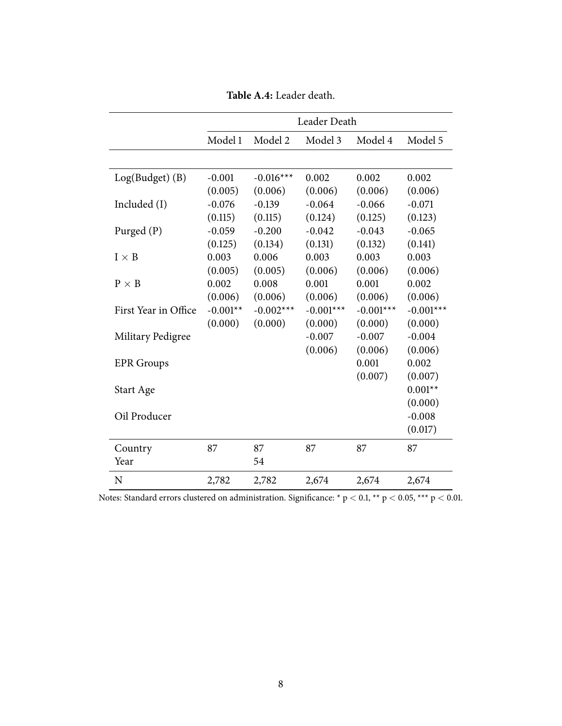<span id="page-41-0"></span>

|                      |            |             | Leader Death |             |             |
|----------------------|------------|-------------|--------------|-------------|-------------|
|                      | Model 1    | Model 2     | Model 3      | Model 4     | Model 5     |
|                      |            |             |              |             |             |
| $Log(Budget)$ (B)    | $-0.001$   | $-0.016***$ | 0.002        | 0.002       | 0.002       |
|                      | (0.005)    | (0.006)     | (0.006)      | (0.006)     | (0.006)     |
| Included (I)         | $-0.076$   | $-0.139$    | $-0.064$     | $-0.066$    | $-0.071$    |
|                      | (0.115)    | (0.115)     | (0.124)      | (0.125)     | (0.123)     |
| Purged (P)           | $-0.059$   | $-0.200$    | $-0.042$     | $-0.043$    | $-0.065$    |
|                      | (0.125)    | (0.134)     | (0.131)      | (0.132)     | (0.141)     |
| $I \times B$         | 0.003      | 0.006       | 0.003        | 0.003       | 0.003       |
|                      | (0.005)    | (0.005)     | (0.006)      | (0.006)     | (0.006)     |
| $P \times B$         | 0.002      | 0.008       | 0.001        | 0.001       | 0.002       |
|                      | (0.006)    | (0.006)     | (0.006)      | (0.006)     | (0.006)     |
| First Year in Office | $-0.001**$ | $-0.002***$ | $-0.001***$  | $-0.001***$ | $-0.001***$ |
|                      | (0.000)    | (0.000)     | (0.000)      | (0.000)     | (0.000)     |
| Military Pedigree    |            |             | $-0.007$     | $-0.007$    | $-0.004$    |
|                      |            |             | (0.006)      | (0.006)     | (0.006)     |
| <b>EPR</b> Groups    |            |             |              | 0.001       | 0.002       |
|                      |            |             |              | (0.007)     | (0.007)     |
| Start Age            |            |             |              |             | $0.001**$   |
|                      |            |             |              |             | (0.000)     |
| Oil Producer         |            |             |              |             | $-0.008$    |
|                      |            |             |              |             | (0.017)     |
| Country              | 87         | 87          | 87           | 87          | 87          |
| Year                 |            | 54          |              |             |             |
| N                    | 2,782      | 2,782       | 2,674        | 2,674       | 2,674       |

**Table A.4:** Leader death.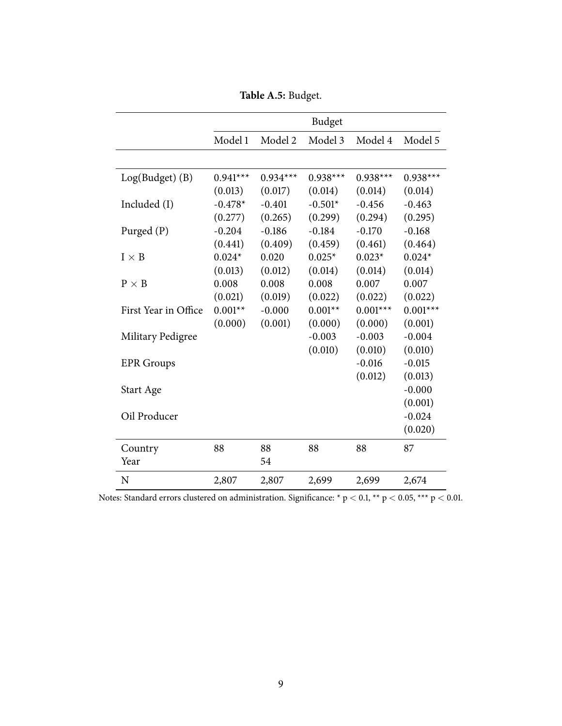**Table A.5:** Budget.

<span id="page-42-0"></span>

|                      |            |            | Budget     |            |            |
|----------------------|------------|------------|------------|------------|------------|
|                      | Model 1    | Model 2    | Model 3    | Model 4    | Model 5    |
|                      |            |            |            |            |            |
| Log(Budget) (B)      | $0.941***$ | $0.934***$ | $0.938***$ | $0.938***$ | $0.938***$ |
|                      | (0.013)    | (0.017)    | (0.014)    | (0.014)    | (0.014)    |
| Included (I)         | $-0.478*$  | $-0.401$   | $-0.501*$  | $-0.456$   | $-0.463$   |
|                      | (0.277)    | (0.265)    | (0.299)    | (0.294)    | (0.295)    |
| Purged (P)           | $-0.204$   | $-0.186$   | $-0.184$   | $-0.170$   | $-0.168$   |
|                      | (0.441)    | (0.409)    | (0.459)    | (0.461)    | (0.464)    |
| $I \times B$         | $0.024*$   | 0.020      | $0.025*$   | $0.023*$   | $0.024*$   |
|                      | (0.013)    | (0.012)    | (0.014)    | (0.014)    | (0.014)    |
| $P \times B$         | 0.008      | 0.008      | 0.008      | 0.007      | 0.007      |
|                      | (0.021)    | (0.019)    | (0.022)    | (0.022)    | (0.022)    |
| First Year in Office | $0.001**$  | $-0.000$   | $0.001**$  | $0.001***$ | $0.001***$ |
|                      | (0.000)    | (0.001)    | (0.000)    | (0.000)    | (0.001)    |
| Military Pedigree    |            |            | $-0.003$   | $-0.003$   | $-0.004$   |
|                      |            |            | (0.010)    | (0.010)    | (0.010)    |
| <b>EPR</b> Groups    |            |            |            | $-0.016$   | $-0.015$   |
|                      |            |            |            | (0.012)    | (0.013)    |
| Start Age            |            |            |            |            | $-0.000$   |
|                      |            |            |            |            | (0.001)    |
| Oil Producer         |            |            |            |            | $-0.024$   |
|                      |            |            |            |            | (0.020)    |
| Country              | 88         | 88         | 88         | 88         | 87         |
| Year                 |            | 54         |            |            |            |
| N                    | 2,807      | 2,807      | 2,699      | 2,699      | 2,674      |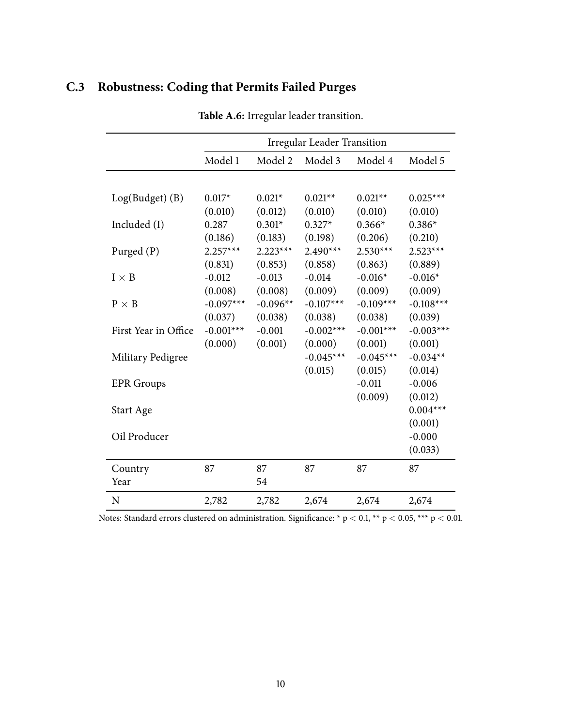# <span id="page-43-1"></span><span id="page-43-0"></span>**C.3 Robustness: Coding that Permits Failed Purges**

|                      | <b>Irregular Leader Transition</b> |            |             |             |             |
|----------------------|------------------------------------|------------|-------------|-------------|-------------|
|                      | Model 1                            | Model 2    | Model 3     | Model 4     | Model 5     |
|                      |                                    |            |             |             |             |
| Log(Budget) (B)      | $0.017*$                           | $0.021*$   | $0.021**$   | $0.021**$   | $0.025***$  |
|                      | (0.010)                            | (0.012)    | (0.010)     | (0.010)     | (0.010)     |
| Included (I)         | 0.287                              | $0.301*$   | $0.327*$    | $0.366*$    | $0.386*$    |
|                      | (0.186)                            | (0.183)    | (0.198)     | (0.206)     | (0.210)     |
| Purged (P)           | $2.257***$                         | $2.223***$ | $2.490***$  | $2.530***$  | $2.523***$  |
|                      | (0.831)                            | (0.853)    | (0.858)     | (0.863)     | (0.889)     |
| $I \times B$         | $-0.012$                           | $-0.013$   | $-0.014$    | $-0.016*$   | $-0.016*$   |
|                      | (0.008)                            | (0.008)    | (0.009)     | (0.009)     | (0.009)     |
| $P \times B$         | $-0.097***$                        | $-0.096**$ | $-0.107***$ | $-0.109***$ | $-0.108***$ |
|                      | (0.037)                            | (0.038)    | (0.038)     | (0.038)     | (0.039)     |
| First Year in Office | $-0.001***$                        | $-0.001$   | $-0.002***$ | $-0.001***$ | $-0.003***$ |
|                      | (0.000)                            | (0.001)    | (0.000)     | (0.001)     | (0.001)     |
| Military Pedigree    |                                    |            | $-0.045***$ | $-0.045***$ | $-0.034**$  |
|                      |                                    |            | (0.015)     | (0.015)     | (0.014)     |
| <b>EPR</b> Groups    |                                    |            |             | $-0.011$    | $-0.006$    |
|                      |                                    |            |             | (0.009)     | (0.012)     |
| Start Age            |                                    |            |             |             | $0.004***$  |
|                      |                                    |            |             |             | (0.001)     |
| Oil Producer         |                                    |            |             |             | $-0.000$    |
|                      |                                    |            |             |             | (0.033)     |
| Country              | 87                                 | 87         | 87          | 87          | 87          |
| Year                 |                                    | 54         |             |             |             |
| N                    | 2,782                              | 2,782      | 2,674       | 2,674       | 2,674       |

**Table A.6:** Irregular leader transition.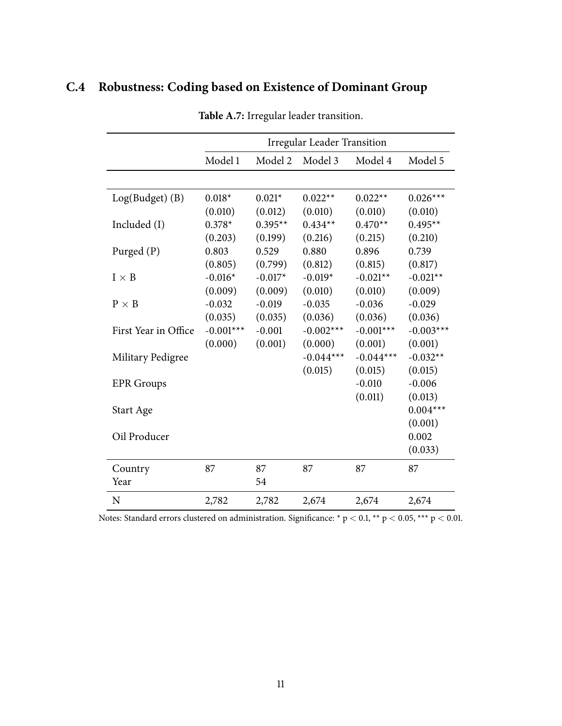# <span id="page-44-1"></span><span id="page-44-0"></span>**C.4 Robustness: Coding based on Existence of Dominant Group**

|                      | <b>Irregular Leader Transition</b> |           |             |             |             |
|----------------------|------------------------------------|-----------|-------------|-------------|-------------|
|                      | Model 1                            | Model 2   | Model 3     | Model 4     | Model 5     |
|                      |                                    |           |             |             |             |
| Log(Budget) (B)      | $0.018*$                           | $0.021*$  | $0.022**$   | $0.022**$   | $0.026***$  |
|                      | (0.010)                            | (0.012)   | (0.010)     | (0.010)     | (0.010)     |
| Included (I)         | $0.378*$                           | $0.395**$ | $0.434**$   | $0.470**$   | $0.495**$   |
|                      | (0.203)                            | (0.199)   | (0.216)     | (0.215)     | (0.210)     |
| Purged (P)           | 0.803                              | 0.529     | 0.880       | 0.896       | 0.739       |
|                      | (0.805)                            | (0.799)   | (0.812)     | (0.815)     | (0.817)     |
| $I \times B$         | $-0.016*$                          | $-0.017*$ | $-0.019*$   | $-0.021**$  | $-0.021**$  |
|                      | (0.009)                            | (0.009)   | (0.010)     | (0.010)     | (0.009)     |
| $P \times B$         | $-0.032$                           | $-0.019$  | $-0.035$    | $-0.036$    | $-0.029$    |
|                      | (0.035)                            | (0.035)   | (0.036)     | (0.036)     | (0.036)     |
| First Year in Office | $-0.001***$                        | $-0.001$  | $-0.002***$ | $-0.001***$ | $-0.003***$ |
|                      | (0.000)                            | (0.001)   | (0.000)     | (0.001)     | (0.001)     |
| Military Pedigree    |                                    |           | $-0.044***$ | $-0.044***$ | $-0.032**$  |
|                      |                                    |           | (0.015)     | (0.015)     | (0.015)     |
| <b>EPR</b> Groups    |                                    |           |             | $-0.010$    | $-0.006$    |
|                      |                                    |           |             | (0.011)     | (0.013)     |
| Start Age            |                                    |           |             |             | $0.004***$  |
|                      |                                    |           |             |             | (0.001)     |
| Oil Producer         |                                    |           |             |             | 0.002       |
|                      |                                    |           |             |             | (0.033)     |
| Country              | 87                                 | 87        | 87          | 87          | 87          |
| Year                 |                                    | 54        |             |             |             |
| N                    | 2,782                              | 2,782     | 2,674       | 2,674       | 2,674       |

**Table A.7:** Irregular leader transition.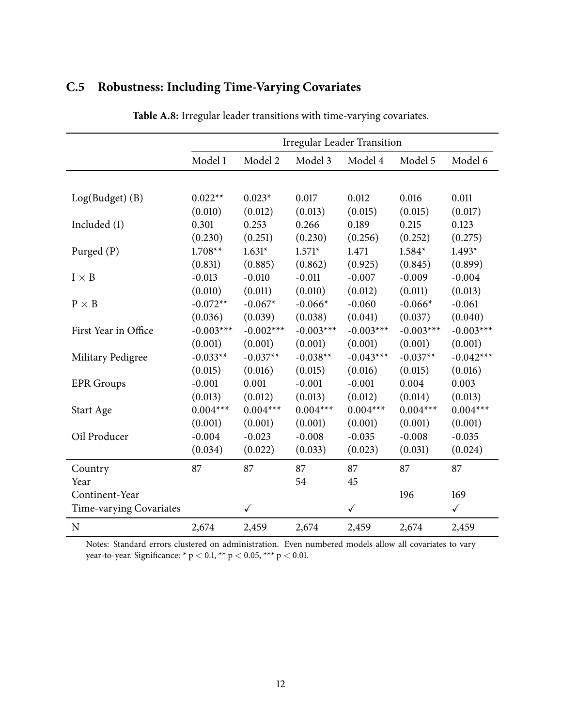<span id="page-45-1"></span><span id="page-45-0"></span>

| C.5 Robustness: Including Time-Varying Covariates |  |  |  |  |  |
|---------------------------------------------------|--|--|--|--|--|
|---------------------------------------------------|--|--|--|--|--|

|                         | <b>Irregular Leader Transition</b> |              |             |              |             |              |
|-------------------------|------------------------------------|--------------|-------------|--------------|-------------|--------------|
|                         | Model 1                            | Model 2      | Model 3     | Model 4      | Model 5     | Model 6      |
|                         |                                    |              |             |              |             |              |
| $Log(Budget)$ (B)       | $0.022**$                          | $0.023*$     | 0.017       | 0.012        | 0.016       | 0.011        |
|                         | (0.010)                            | (0.012)      | (0.013)     | (0.015)      | (0.015)     | (0.017)      |
| Included (I)            | 0.301                              | 0.253        | 0.266       | 0.189        | 0.215       | 0.123        |
|                         | (0.230)                            | (0.251)      | (0.230)     | (0.256)      | (0.252)     | (0.275)      |
| Purged (P)              | $1.708**$                          | $1.631*$     | $1.571*$    | 1.471        | $1.584*$    | $1.493*$     |
|                         | (0.831)                            | (0.885)      | (0.862)     | (0.925)      | (0.845)     | (0.899)      |
| $I \times B$            | $-0.013$                           | $-0.010$     | $-0.011$    | $-0.007$     | $-0.009$    | $-0.004$     |
|                         | (0.010)                            | (0.011)      | (0.010)     | (0.012)      | (0.011)     | (0.013)      |
| $P \times B$            | $-0.072**$                         | $-0.067*$    | $-0.066*$   | $-0.060$     | $-0.066*$   | $-0.061$     |
|                         | (0.036)                            | (0.039)      | (0.038)     | (0.041)      | (0.037)     | (0.040)      |
| First Year in Office    | $-0.003***$                        | $-0.002***$  | $-0.003***$ | $-0.003***$  | $-0.003***$ | $-0.003***$  |
|                         | (0.001)                            | (0.001)      | (0.001)     | (0.001)      | (0.001)     | (0.001)      |
| Military Pedigree       | $-0.033**$                         | $-0.037**$   | $-0.038**$  | $-0.043***$  | $-0.037**$  | $-0.042***$  |
|                         | (0.015)                            | (0.016)      | (0.015)     | (0.016)      | (0.015)     | (0.016)      |
| <b>EPR</b> Groups       | $-0.001$                           | 0.001        | $-0.001$    | $-0.001$     | 0.004       | 0.003        |
|                         | (0.013)                            | (0.012)      | (0.013)     | (0.012)      | (0.014)     | (0.013)      |
| Start Age               | $0.004***$                         | $0.004***$   | $0.004***$  | $0.004***$   | $0.004***$  | $0.004***$   |
|                         | (0.001)                            | (0.001)      | (0.001)     | (0.001)      | (0.001)     | (0.001)      |
| Oil Producer            | $-0.004$                           | $-0.023$     | $-0.008$    | $-0.035$     | $-0.008$    | $-0.035$     |
|                         | (0.034)                            | (0.022)      | (0.033)     | (0.023)      | (0.031)     | (0.024)      |
| Country                 | 87                                 | 87           | 87          | 87           | 87          | 87           |
| Year                    |                                    |              | 54          | 45           |             |              |
| Continent-Year          |                                    |              |             |              | 196         | 169          |
| Time-varying Covariates |                                    | $\checkmark$ |             | $\checkmark$ |             | $\checkmark$ |
| ${\bf N}$               | 2,674                              | 2,459        | 2,674       | 2,459        | 2,674       | 2,459        |

**Table A.8:** Irregular leader transitions with time-varying covariates.

Notes: Standard errors clustered on administration. Even numbered models allow all covariates to vary year-to-year. Significance: \* p < 0.1, \*\* p < 0.05, \*\*\* p < 0.01.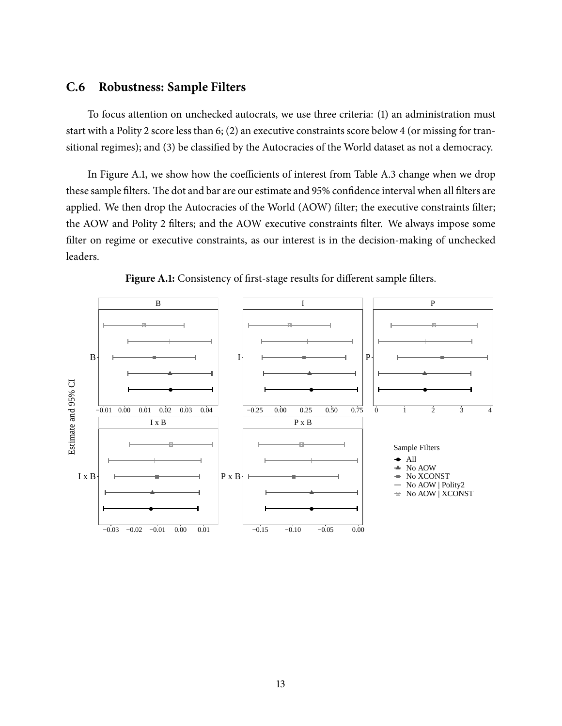## <span id="page-46-1"></span>**C.6 Robustness: Sample Filters**

To focus attention on unchecked autocrats, we use three criteria: (1) an administration must start with a Polity 2 score less than 6; (2) an executive constraints score below 4 (or missing for transitional regimes); and (3) be classified by the Autocracies of the World dataset as not a democracy.

In Figure [A.1,](#page-46-0) we show how the coefficients of interest from Table [A.3](#page-40-0) change when we drop these sample filters. The dot and bar are our estimate and 95% confidence interval when all filters are applied. We then drop the Autocracies of the World (AOW) filter; the executive constraints filter; the AOW and Polity 2 filters; and the AOW executive constraints filter. We always impose some filter on regime or executive constraints, as our interest is in the decision-making of unchecked leaders.

<span id="page-46-0"></span>

Figure A.1: Consistency of first-stage results for different sample filters.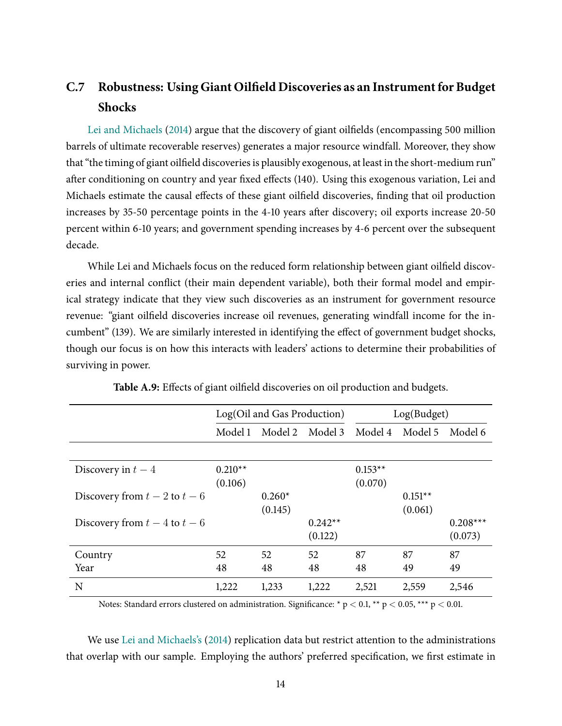# <span id="page-47-1"></span>**C.7 Robustness: Using Giant Oilûeld Discoveries as an Instrumentfor Budget Shocks**

Lei and [Michaels](#page-31-13) [\(2014\)](#page-31-13) argue that the discovery of giant oilfields (encompassing 500 million barrels of ultimate recoverable reserves) generates a major resource windfall. Moreover, they show that "the timing of giant oilfield discoveries is plausibly exogenous, at least in the short-medium run" after conditioning on country and year fixed effects (140). Using this exogenous variation, Lei and Michaels estimate the causal effects of these giant oilfield discoveries, finding that oil production increases by 35-50 percentage points in the 4-10 years after discovery; oil exports increase 20-50 percent within 6-10 years; and government spending increases by 4-6 percent over the subsequent decade.

While Lei and Michaels focus on the reduced form relationship between giant oilfield discoveries and internal conflict (their main dependent variable), both their formal model and empirical strategy indicate that they view such discoveries as an instrument for government resource revenue: "giant oilfield discoveries increase oil revenues, generating windfall income for the incumbent" (139). We are similarly interested in identifying the effect of government budget shocks, though our focus is on how this interacts with leaders' actions to determine their probabilities of surviving in power.

<span id="page-47-0"></span>

|                               | Log(Oil and Gas Production) |          |           | Log(Budget)     |           |            |
|-------------------------------|-----------------------------|----------|-----------|-----------------|-----------|------------|
|                               | Model 1                     | Model 2  | Model 3   | Model 4 Model 5 |           | Model 6    |
|                               |                             |          |           |                 |           |            |
| Discovery in $t-4$            | $0.210**$                   |          |           | $0.153**$       |           |            |
|                               | (0.106)                     |          |           | (0.070)         |           |            |
| Discovery from $t-2$ to $t-6$ |                             | $0.260*$ |           |                 | $0.151**$ |            |
|                               |                             | (0.145)  |           |                 | (0.061)   |            |
| Discovery from $t-4$ to $t-6$ |                             |          | $0.242**$ |                 |           | $0.208***$ |
|                               |                             |          | (0.122)   |                 |           | (0.073)    |
| Country                       | 52                          | 52       | 52        | 87              | 87        | 87         |
| Year                          | 48                          | 48       | 48        | 48              | 49        | 49         |
| N                             | 1,222                       | 1,233    | 1,222     | 2,521           | 2,559     | 2,546      |

Table A.9: Effects of giant oilfield discoveries on oil production and budgets.

Notes: Standard errors clustered on administration. Significance: \*  $p < 0.1$ , \*\*  $p < 0.05$ , \*\*\*  $p < 0.01$ .

We use Lei and [Michaels's](#page-31-13) [\(2014\)](#page-31-13) replication data but restrict attention to the administrations that overlap with our sample. Employing the authors' preferred specification, we first estimate in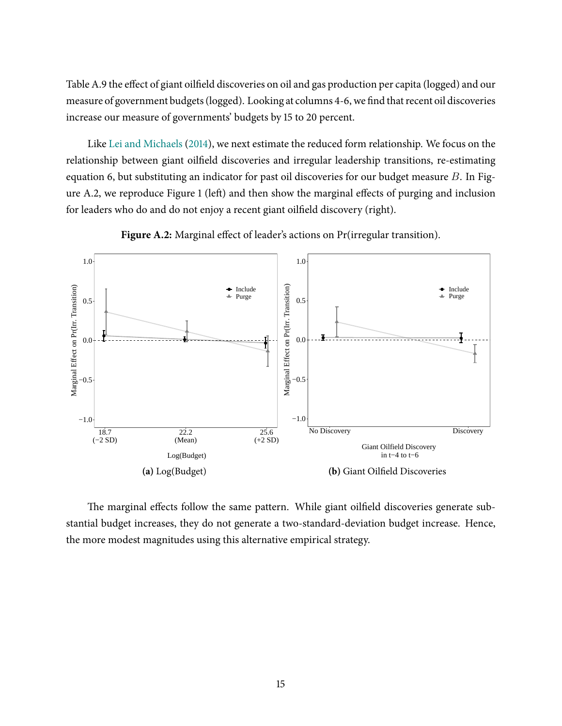Table [A.9](#page-47-0) the effect of giant oilfield discoveries on oil and gas production per capita (logged) and our measure of government budgets (logged). Looking at columns 4-6, we find that recent oil discoveries increase our measure of governments' budgets by 15 to 20 percent.

Like Lei and [Michaels](#page-31-13) [\(2014\)](#page-31-13), we next estimate the reduced form relationship. We focus on the relationship between giant oilfield discoveries and irregular leadership transitions, re-estimating equation [6,](#page-16-0) but substituting an indicator for past oil discoveries for our budget measure B. In Fig-ure [A.2,](#page-48-0) we reproduce Figure [1](#page-17-0) (left) and then show the marginal effects of purging and inclusion for leaders who do and do not enjoy a recent giant oilfield discovery (right).

<span id="page-48-0"></span>



The marginal effects follow the same pattern. While giant oilfield discoveries generate substantial budget increases, they do not generate a two-standard-deviation budget increase. Hence, the more modest magnitudes using this alternative empirical strategy.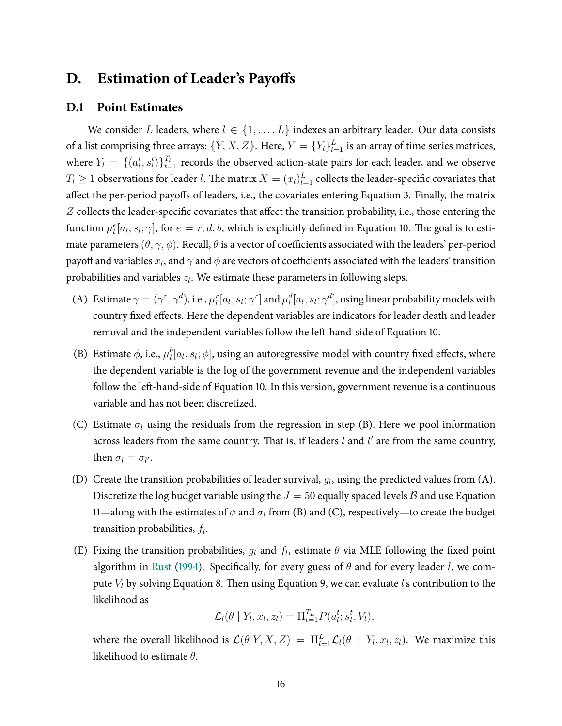## <span id="page-49-0"></span>**D.** Estimation of Leader's Payoffs

### <span id="page-49-1"></span>**D.1 Point Estimates**

We consider L leaders, where  $l \in \{1, \ldots, L\}$  indexes an arbitrary leader. Our data consists of a list comprising three arrays:  $\{Y,X,Z\}.$  Here,  $Y=\{Y_l\}_{l=1}^L$  is an array of time series matrices, where  $Y_l = \{(a_l^t, s_l^t)\}_{t=1}^{T_l}$  records the observed action-state pairs for each leader, and we observe  $T_l \geq 1$  observations for leader  $l.$  The matrix  $X = (x_l)_{l=1}^L$  collects the leader-specific covariates that affect the per-period payoffs of leaders, i.e., the covariates entering Equation [3.](#page-8-0) Finally, the matrix  $Z$  collects the leader-specific covariates that affect the transition probability, i.e., those entering the function  $\mu_l^e[a_l,s_l;\gamma]$ , for  $e=r,d,b$ , which is explicitly defined in Equation [10.](#page-38-1) The goal is to estimate parameters  $(\theta, \gamma, \phi)$ . Recall,  $\theta$  is a vector of coefficients associated with the leaders' per-period payoff and variables  $x_l$ , and  $\gamma$  and  $\phi$  are vectors of coefficients associated with the leaders' transition probabilities and variables  $z_l$ . We estimate these parameters in following steps.

- (A) Estimate  $\gamma=(\gamma^r,\gamma^d)$ , i.e.,  $\mu_l^r[a_l,s_l;\gamma^r]$  and  $\mu_l^d[a_l,s_l;\gamma^d]$ , using linear probability models with country fixed effects. Here the dependent variables are indicators for leader death and leader removal and the independent variables follow the left-hand-side of Equation [10.](#page-38-1)
- (B) Estimate  $\phi$ , i.e.,  $\mu_l^b[a_l, s_l; \phi]$ , using an autoregressive model with country fixed effects, where the dependent variable is the log of the government revenue and the independent variables follow the left-hand-side of Equation [10.](#page-38-1) In this version, government revenue is a continuous variable and has not been discretized.
- (C) Estimate  $\sigma_l$  using the residuals from the regression in step (B). Here we pool information across leaders from the same country. That is, if leaders  $l$  and  $l'$  are from the same country, then  $\sigma_l = \sigma_{l'}$ .
- (D) Create the transition probabilities of leader survival,  $g_l$ , using the predicted values from (A). Discretize the log budget variable using the  $J = 50$  equally spaced levels B and use Equation [11—](#page-38-2)along with the estimates of  $\phi$  and  $\sigma_l$  from (B) and (C), respectively—to create the budget transition probabilities,  $f_l$ .
- (E) Fixing the transition probabilities,  $g_l$  and  $f_l$ , estimate  $\theta$  via MLE following the fixed point algorithm in [Rust](#page-32-2) [\(1994\)](#page-32-2). Specifically, for every guess of  $\theta$  and for every leader l, we compute  $V_l$  by solving Equation [8.](#page-34-2) Then using Equation [9,](#page-34-1) we can evaluate l's contribution to the likelihood as

$$
\mathcal{L}_l(\theta \mid Y_l, x_l, z_l) = \Pi_{t=1}^{T_L} P(a_l^t; s_l^t, V_l),
$$

where the overall likelihood is  $\mathcal{L}(\theta|Y, X, Z) = \prod_{l=1}^{L} \mathcal{L}_l(\theta | Y, x_l, z_l)$ . We maximize this likelihood to estimate  $\theta$ .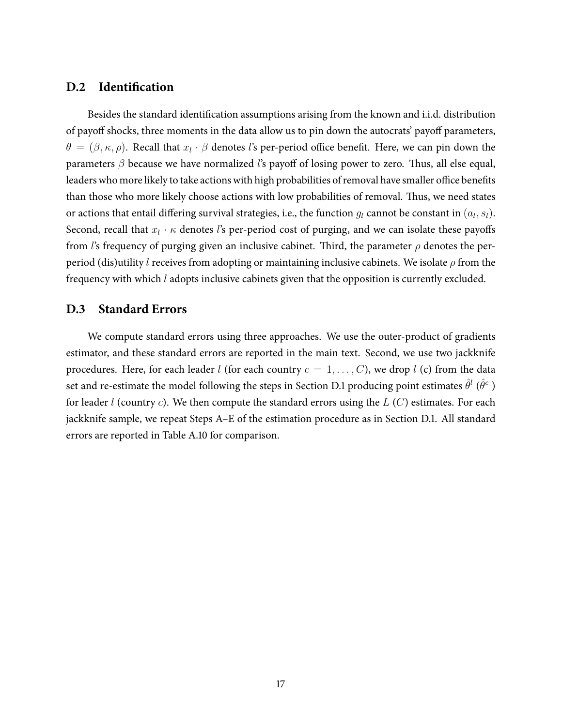## <span id="page-50-0"></span>**D.2 Identification**

Besides the standard identification assumptions arising from the known and i.i.d. distribution of payoff shocks, three moments in the data allow us to pin down the autocrats' payoff parameters,  $\theta = (\beta, \kappa, \rho)$ . Recall that  $x_l \cdot \beta$  denotes l's per-period office benefit. Here, we can pin down the parameters  $\beta$  because we have normalized l's payoff of losing power to zero. Thus, all else equal, leaders who more likely to take actions with high probabilities of removal have smaller office benefits than those who more likely choose actions with low probabilities of removal. Thus, we need states or actions that entail differing survival strategies, i.e., the function  $g_l$  cannot be constant in  $(a_l, s_l)$ . Second, recall that  $x_l \cdot \kappa$  denotes l's per-period cost of purging, and we can isolate these payoffs from l's frequency of purging given an inclusive cabinet. Third, the parameter  $\rho$  denotes the perperiod (dis)utility l receives from adopting or maintaining inclusive cabinets. We isolate  $\rho$  from the frequency with which l adopts inclusive cabinets given that the opposition is currently excluded.

## <span id="page-50-1"></span>**D.3 Standard Errors**

We compute standard errors using three approaches. We use the outer-product of gradients estimator, and these standard errors are reported in the main text. Second, we use two jackknife procedures. Here, for each leader *l* (for each country  $c = 1, \ldots, C$ ), we drop *l* (c) from the data set and re-estimate the model following the steps in Section [D.1](#page-49-1) producing point estimates  $\hat{\theta}^l$  ( $\hat{\theta}^c$  ) for leader *l* (country *c*). We then compute the standard errors using the  $L(C)$  estimates. For each jackknife sample, we repeat Steps A–E of the estimation procedure as in Section [D.1.](#page-49-1) All standard errors are reported in Table [A.10](#page-51-0) for comparison.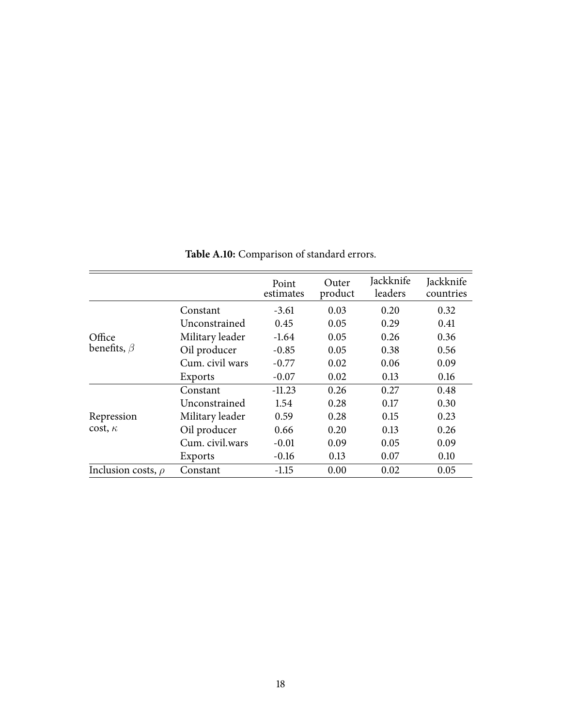<span id="page-51-0"></span>

|                              |                 | Point<br>estimates | Outer<br>product | Jackknife<br>leaders | Jackknife<br>countries |
|------------------------------|-----------------|--------------------|------------------|----------------------|------------------------|
| Office<br>benefits, $\beta$  | Constant        | $-3.61$            | 0.03             | 0.20                 | 0.32                   |
|                              | Unconstrained   | 0.45               | 0.05             | 0.29                 | 0.41                   |
|                              | Military leader | $-1.64$            | 0.05             | 0.26                 | 0.36                   |
|                              | Oil producer    | $-0.85$            | 0.05             | 0.38                 | 0.56                   |
|                              | Cum. civil wars | $-0.77$            | 0.02             | 0.06                 | 0.09                   |
|                              | Exports         | $-0.07$            | 0.02             | 0.13                 | 0.16                   |
| Repression<br>$cost, \kappa$ | Constant        | $-11.23$           | 0.26             | 0.27                 | 0.48                   |
|                              | Unconstrained   | 1.54               | 0.28             | 0.17                 | 0.30                   |
|                              | Military leader | 0.59               | 0.28             | 0.15                 | 0.23                   |
|                              | Oil producer    | 0.66               | 0.20             | 0.13                 | 0.26                   |
|                              | Cum. civil.wars | $-0.01$            | 0.09             | 0.05                 | 0.09                   |
|                              | Exports         | $-0.16$            | 0.13             | 0.07                 | 0.10                   |
| Inclusion costs, $\rho$      | Constant        | $-1.15$            | 0.00             | 0.02                 | 0.05                   |

**Table A.10:** Comparison of standard errors.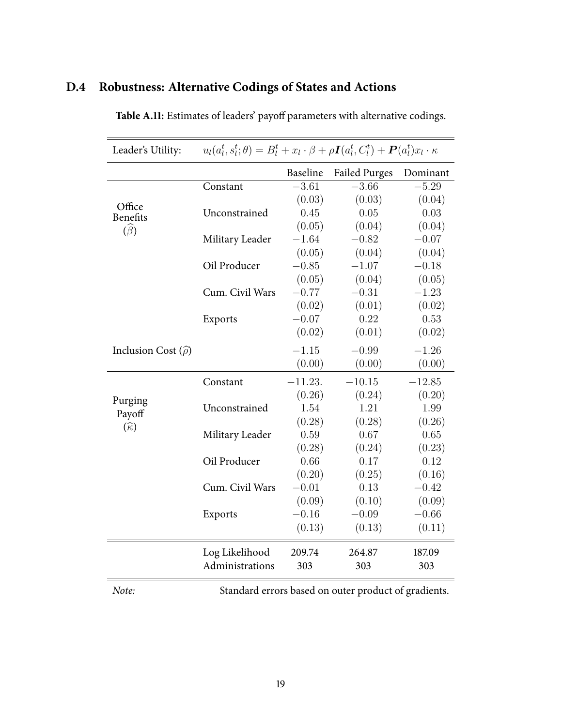# <span id="page-52-1"></span><span id="page-52-0"></span>**D.4 Robustness: Alternative Codings of States and Actions**

|                               |                 | Baseline  | <b>Failed Purges</b> | Dominant |
|-------------------------------|-----------------|-----------|----------------------|----------|
|                               | Constant        | $-3.61$   | $-3.66$              | $-5.29$  |
| Office                        |                 | (0.03)    | (0.03)               | (0.04)   |
| <b>Benefits</b>               | Unconstrained   | 0.45      | 0.05                 | 0.03     |
| $(\widehat{\beta})$           |                 | (0.05)    | (0.04)               | (0.04)   |
|                               | Military Leader | $-1.64$   | $-0.82$              | $-0.07$  |
|                               |                 | (0.05)    | (0.04)               | (0.04)   |
|                               | Oil Producer    | $-0.85$   | $-1.07$              | $-0.18$  |
|                               |                 | (0.05)    | (0.04)               | (0.05)   |
|                               | Cum. Civil Wars | $-0.77$   | $-0.31$              | $-1.23$  |
|                               |                 | (0.02)    | (0.01)               | (0.02)   |
|                               | Exports         | $-0.07$   | 0.22                 | 0.53     |
|                               |                 | (0.02)    | (0.01)               | (0.02)   |
| Inclusion Cost $(\hat{\rho})$ |                 | $-1.15$   | $-0.99$              | $-1.26$  |
|                               |                 | (0.00)    | (0.00)               | (0.00)   |
|                               | Constant        | $-11.23.$ | $-10.15$             | $-12.85$ |
| Purging                       |                 | (0.26)    | (0.24)               | (0.20)   |
| Payoff                        | Unconstrained   | 1.54      | 1.21                 | 1.99     |
| $(\widehat{\kappa})$          |                 | (0.28)    | (0.28)               | (0.26)   |
|                               | Military Leader | 0.59      | 0.67                 | 0.65     |
|                               |                 | (0.28)    | (0.24)               | (0.23)   |
|                               | Oil Producer    | 0.66      | 0.17                 | 0.12     |
|                               |                 | (0.20)    | (0.25)               | (0.16)   |
|                               | Cum. Civil Wars | $-0.01$   | 0.13                 | $-0.42$  |
|                               |                 | (0.09)    | (0.10)               | (0.09)   |
|                               | Exports         | $-0.16$   | $-0.09$              | $-0.66$  |
|                               |                 | (0.13)    | (0.13)               | (0.11)   |
|                               | Log Likelihood  | 209.74    | 264.87               | 187.09   |
|                               | Administrations | 303       | 303                  | 303      |

Table A.11: Estimates of leaders' payoff parameters with alternative codings.

Note: Standard errors based on outer product of gradients.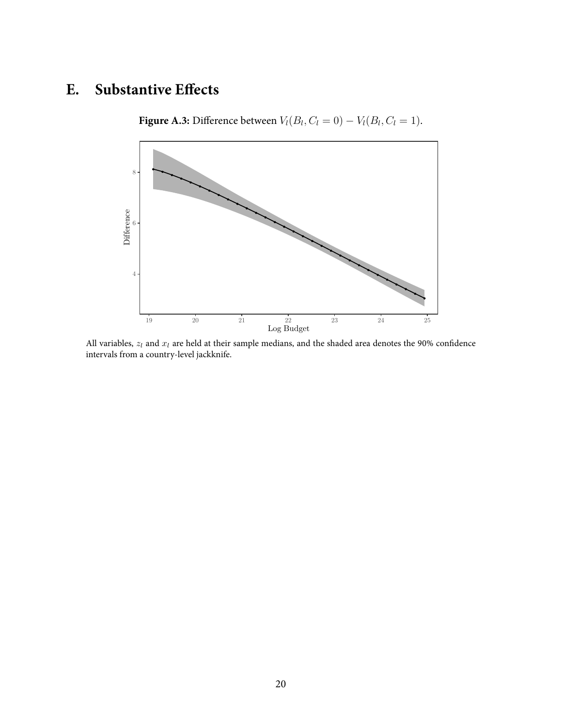# <span id="page-53-1"></span><span id="page-53-0"></span>**E.** Substantive Effects

**Figure A.3:** Difference between  $V_l(B_l, C_l = 0) - V_l(B_l, C_l = 1)$ .



All variables,  $z_l$  and  $x_l$  are held at their sample medians, and the shaded area denotes the 90% confidence intervals from a country-level jackknife.